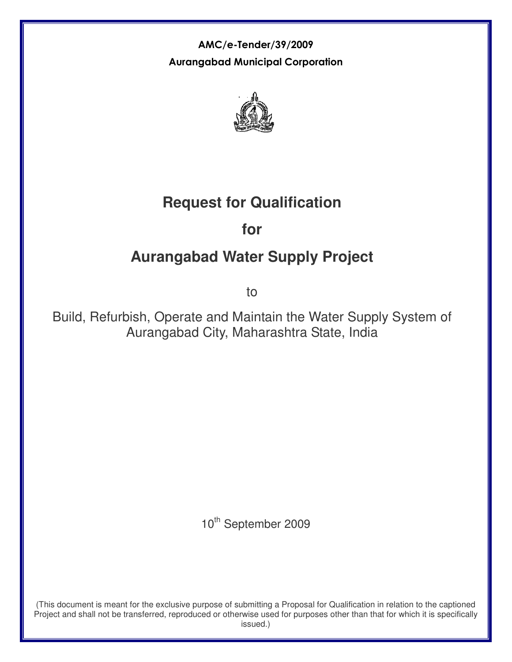AMC/e-Tender/39/2009 Aurangabad Municipal Corporation



# **Request for Qualification**

# **for**

# **Aurangabad Water Supply Project**

to

Build, Refurbish, Operate and Maintain the Water Supply System of Aurangabad City, Maharashtra State, India

10<sup>th</sup> September 2009

(This document is meant for the exclusive purpose of submitting a Proposal for Qualification in relation to the captioned Project and shall not be transferred, reproduced or otherwise used for purposes other than that for which it is specifically issued.)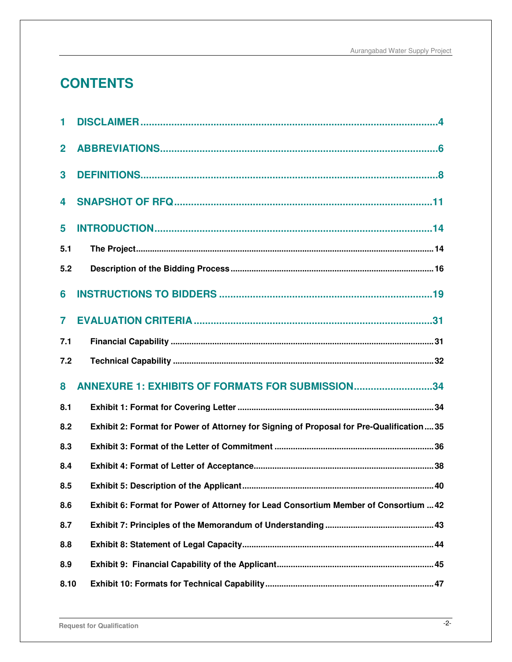# **CONTENTS**

| 1            |                                                                                         |
|--------------|-----------------------------------------------------------------------------------------|
| $\mathbf{2}$ |                                                                                         |
| 3            |                                                                                         |
| 4            |                                                                                         |
| 5            |                                                                                         |
| 5.1          |                                                                                         |
| 5.2          |                                                                                         |
| 6            |                                                                                         |
| 7            |                                                                                         |
| 7.1          |                                                                                         |
|              |                                                                                         |
| 7.2          |                                                                                         |
| 8            | ANNEXURE 1: EXHIBITS OF FORMATS FOR SUBMISSION34                                        |
| 8.1          |                                                                                         |
| 8.2          | Exhibit 2: Format for Power of Attorney for Signing of Proposal for Pre-Qualification35 |
| 8.3          |                                                                                         |
| 8.4          |                                                                                         |
| 8.5          |                                                                                         |
| 8.6          | Exhibit 6: Format for Power of Attorney for Lead Consortium Member of Consortium  42    |
| 8.7          |                                                                                         |
| 8.8          |                                                                                         |
| 8.9          |                                                                                         |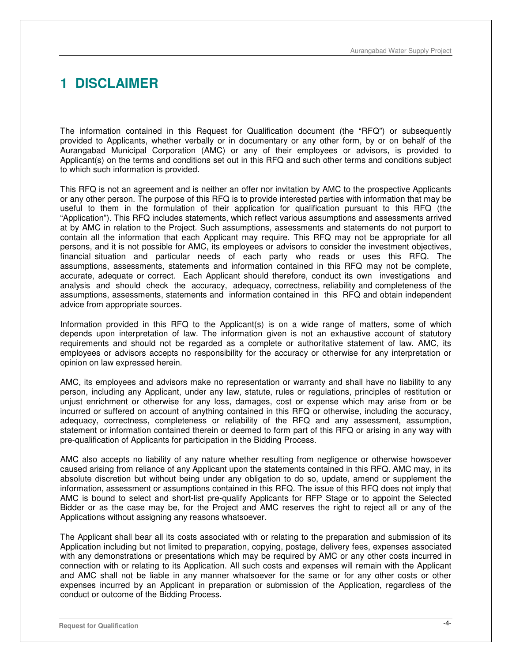# **1 DISCLAIMER**

The information contained in this Request for Qualification document (the "RFQ") or subsequently provided to Applicants, whether verbally or in documentary or any other form, by or on behalf of the Aurangabad Municipal Corporation (AMC) or any of their employees or advisors, is provided to Applicant(s) on the terms and conditions set out in this RFQ and such other terms and conditions subject to which such information is provided.

This RFQ is not an agreement and is neither an offer nor invitation by AMC to the prospective Applicants or any other person. The purpose of this RFQ is to provide interested parties with information that may be useful to them in the formulation of their application for qualification pursuant to this RFQ (the "Application"). This RFQ includes statements, which reflect various assumptions and assessments arrived at by AMC in relation to the Project. Such assumptions, assessments and statements do not purport to contain all the information that each Applicant may require. This RFQ may not be appropriate for all persons, and it is not possible for AMC, its employees or advisors to consider the investment objectives, financial situation and particular needs of each party who reads or uses this RFQ. The assumptions, assessments, statements and information contained in this RFQ may not be complete, accurate, adequate or correct. Each Applicant should therefore, conduct its own investigations and analysis and should check the accuracy, adequacy, correctness, reliability and completeness of the assumptions, assessments, statements and information contained in this RFQ and obtain independent advice from appropriate sources.

Information provided in this RFQ to the Applicant(s) is on a wide range of matters, some of which depends upon interpretation of law. The information given is not an exhaustive account of statutory requirements and should not be regarded as a complete or authoritative statement of law. AMC, its employees or advisors accepts no responsibility for the accuracy or otherwise for any interpretation or opinion on law expressed herein.

AMC, its employees and advisors make no representation or warranty and shall have no liability to any person, including any Applicant, under any law, statute, rules or regulations, principles of restitution or unjust enrichment or otherwise for any loss, damages, cost or expense which may arise from or be incurred or suffered on account of anything contained in this RFQ or otherwise, including the accuracy, adequacy, correctness, completeness or reliability of the RFQ and any assessment, assumption, statement or information contained therein or deemed to form part of this RFQ or arising in any way with pre-qualification of Applicants for participation in the Bidding Process.

AMC also accepts no liability of any nature whether resulting from negligence or otherwise howsoever caused arising from reliance of any Applicant upon the statements contained in this RFQ. AMC may, in its absolute discretion but without being under any obligation to do so, update, amend or supplement the information, assessment or assumptions contained in this RFQ. The issue of this RFQ does not imply that AMC is bound to select and short-list pre-qualify Applicants for RFP Stage or to appoint the Selected Bidder or as the case may be, for the Project and AMC reserves the right to reject all or any of the Applications without assigning any reasons whatsoever.

The Applicant shall bear all its costs associated with or relating to the preparation and submission of its Application including but not limited to preparation, copying, postage, delivery fees, expenses associated with any demonstrations or presentations which may be required by AMC or any other costs incurred in connection with or relating to its Application. All such costs and expenses will remain with the Applicant and AMC shall not be liable in any manner whatsoever for the same or for any other costs or other expenses incurred by an Applicant in preparation or submission of the Application, regardless of the conduct or outcome of the Bidding Process.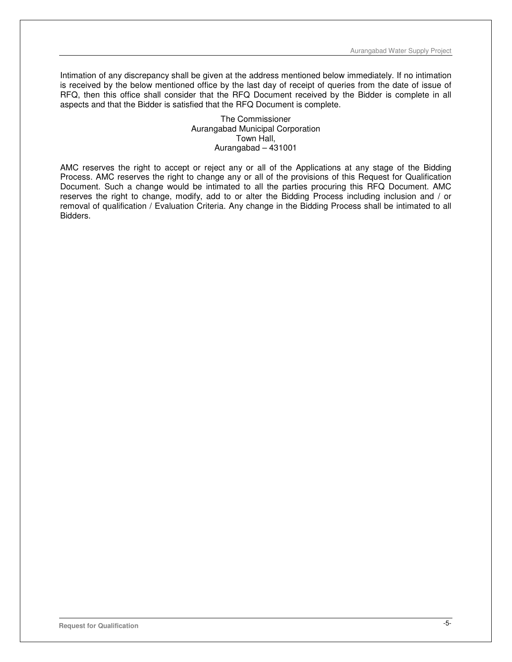Intimation of any discrepancy shall be given at the address mentioned below immediately. If no intimation is received by the below mentioned office by the last day of receipt of queries from the date of issue of RFQ, then this office shall consider that the RFQ Document received by the Bidder is complete in all aspects and that the Bidder is satisfied that the RFQ Document is complete.

> The Commissioner Aurangabad Municipal Corporation Town Hall, Aurangabad – 431001

AMC reserves the right to accept or reject any or all of the Applications at any stage of the Bidding Process. AMC reserves the right to change any or all of the provisions of this Request for Qualification Document. Such a change would be intimated to all the parties procuring this RFQ Document. AMC reserves the right to change, modify, add to or alter the Bidding Process including inclusion and / or removal of qualification / Evaluation Criteria. Any change in the Bidding Process shall be intimated to all Bidders.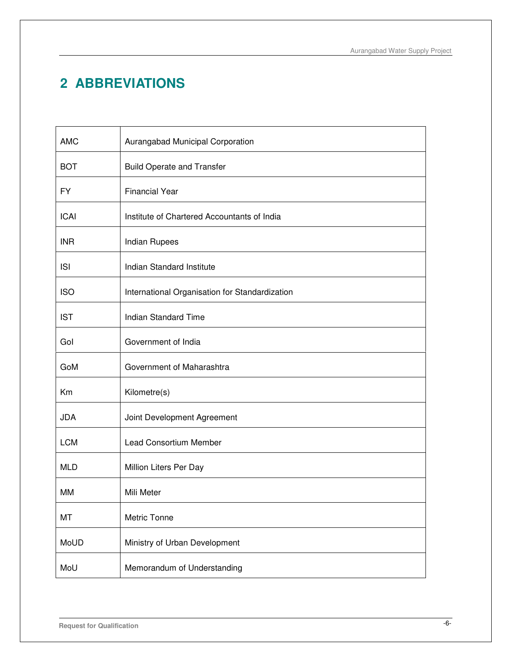# **2 ABBREVIATIONS**

| <b>AMC</b>  | Aurangabad Municipal Corporation               |
|-------------|------------------------------------------------|
| <b>BOT</b>  | <b>Build Operate and Transfer</b>              |
| <b>FY</b>   | <b>Financial Year</b>                          |
| <b>ICAI</b> | Institute of Chartered Accountants of India    |
| <b>INR</b>  | Indian Rupees                                  |
| <b>ISI</b>  | Indian Standard Institute                      |
| <b>ISO</b>  | International Organisation for Standardization |
| <b>IST</b>  | <b>Indian Standard Time</b>                    |
| Gol         | Government of India                            |
| GoM         | Government of Maharashtra                      |
| Km          | Kilometre(s)                                   |
| <b>JDA</b>  | Joint Development Agreement                    |
| <b>LCM</b>  | Lead Consortium Member                         |
| <b>MLD</b>  | Million Liters Per Day                         |
| MМ          | Mili Meter                                     |
| MT          | Metric Tonne                                   |
| MoUD        | Ministry of Urban Development                  |
| MoU         | Memorandum of Understanding                    |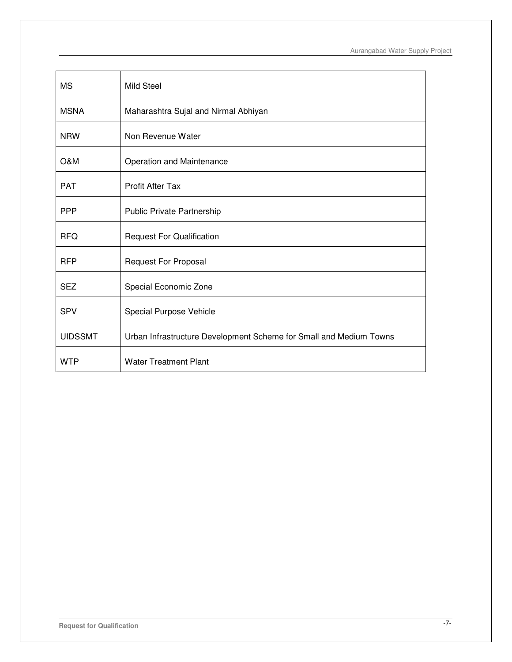| <b>MS</b>      | Mild Steel                                                         |
|----------------|--------------------------------------------------------------------|
| <b>MSNA</b>    | Maharashtra Sujal and Nirmal Abhiyan                               |
| <b>NRW</b>     | Non Revenue Water                                                  |
| O&M            | Operation and Maintenance                                          |
| <b>PAT</b>     | <b>Profit After Tax</b>                                            |
| <b>PPP</b>     | Public Private Partnership                                         |
| <b>RFQ</b>     | <b>Request For Qualification</b>                                   |
| <b>RFP</b>     | <b>Request For Proposal</b>                                        |
| <b>SEZ</b>     | Special Economic Zone                                              |
| <b>SPV</b>     | Special Purpose Vehicle                                            |
| <b>UIDSSMT</b> | Urban Infrastructure Development Scheme for Small and Medium Towns |
| <b>WTP</b>     | <b>Water Treatment Plant</b>                                       |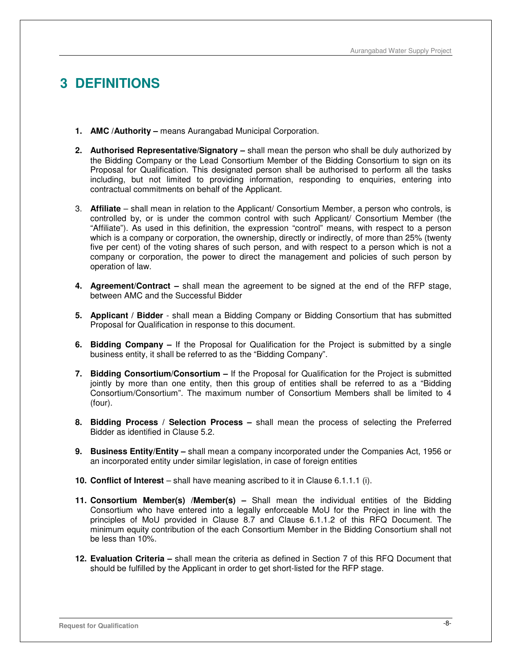# **3 DEFINITIONS**

- **1. AMC /Authority** means Aurangabad Municipal Corporation.
- **2. Authorised Representative/Signatory** shall mean the person who shall be duly authorized by the Bidding Company or the Lead Consortium Member of the Bidding Consortium to sign on its Proposal for Qualification. This designated person shall be authorised to perform all the tasks including, but not limited to providing information, responding to enquiries, entering into contractual commitments on behalf of the Applicant.
- 3. **Affiliate**  shall mean in relation to the Applicant/ Consortium Member, a person who controls, is controlled by, or is under the common control with such Applicant/ Consortium Member (the "Affiliate"). As used in this definition, the expression "control" means, with respect to a person which is a company or corporation, the ownership, directly or indirectly, of more than 25% (twenty five per cent) of the voting shares of such person, and with respect to a person which is not a company or corporation, the power to direct the management and policies of such person by operation of law.
- **4. Agreement/Contract** shall mean the agreement to be signed at the end of the RFP stage, between AMC and the Successful Bidder
- **5. Applicant / Bidder**  shall mean a Bidding Company or Bidding Consortium that has submitted Proposal for Qualification in response to this document.
- **6. Bidding Company** If the Proposal for Qualification for the Project is submitted by a single business entity, it shall be referred to as the "Bidding Company".
- **7. Bidding Consortium/Consortium** If the Proposal for Qualification for the Project is submitted jointly by more than one entity, then this group of entities shall be referred to as a "Bidding Consortium/Consortium". The maximum number of Consortium Members shall be limited to 4 (four).
- **8. Bidding Process / Selection Process** shall mean the process of selecting the Preferred Bidder as identified in Clause 5.2.
- **9. Business Entity/Entity** shall mean a company incorporated under the Companies Act, 1956 or an incorporated entity under similar legislation, in case of foreign entities
- **10. Conflict of Interest** shall have meaning ascribed to it in Clause 6.1.1.1 (i).
- **11. Consortium Member(s) /Member(s)** Shall mean the individual entities of the Bidding Consortium who have entered into a legally enforceable MoU for the Project in line with the principles of MoU provided in Clause 8.7 and Clause 6.1.1.2 of this RFQ Document. The minimum equity contribution of the each Consortium Member in the Bidding Consortium shall not be less than 10%.
- **12. Evaluation Criteria** shall mean the criteria as defined in Section 7 of this RFQ Document that should be fulfilled by the Applicant in order to get short-listed for the RFP stage.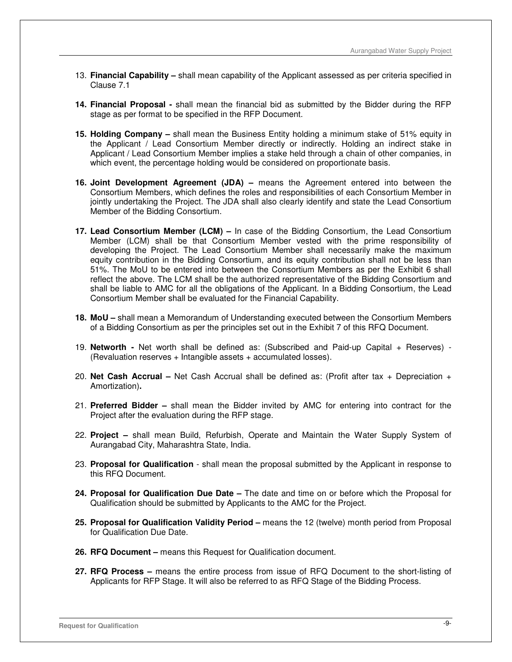- 13. **Financial Capability** shall mean capability of the Applicant assessed as per criteria specified in Clause 7.1
- **14. Financial Proposal** shall mean the financial bid as submitted by the Bidder during the RFP stage as per format to be specified in the RFP Document.
- **15. Holding Company** shall mean the Business Entity holding a minimum stake of 51% equity in the Applicant / Lead Consortium Member directly or indirectly. Holding an indirect stake in Applicant / Lead Consortium Member implies a stake held through a chain of other companies, in which event, the percentage holding would be considered on proportionate basis.
- **16. Joint Development Agreement (JDA)** means the Agreement entered into between the Consortium Members, which defines the roles and responsibilities of each Consortium Member in jointly undertaking the Project. The JDA shall also clearly identify and state the Lead Consortium Member of the Bidding Consortium.
- **17. Lead Consortium Member (LCM)** In case of the Bidding Consortium, the Lead Consortium Member (LCM) shall be that Consortium Member vested with the prime responsibility of developing the Project. The Lead Consortium Member shall necessarily make the maximum equity contribution in the Bidding Consortium, and its equity contribution shall not be less than 51%. The MoU to be entered into between the Consortium Members as per the Exhibit 6 shall reflect the above. The LCM shall be the authorized representative of the Bidding Consortium and shall be liable to AMC for all the obligations of the Applicant. In a Bidding Consortium, the Lead Consortium Member shall be evaluated for the Financial Capability.
- **18. MoU** shall mean a Memorandum of Understanding executed between the Consortium Members of a Bidding Consortium as per the principles set out in the Exhibit 7 of this RFQ Document.
- 19. **Networth** Net worth shall be defined as: (Subscribed and Paid-up Capital + Reserves) (Revaluation reserves + Intangible assets + accumulated losses).
- 20. **Net Cash Accrual** Net Cash Accrual shall be defined as: (Profit after tax + Depreciation + Amortization)**.**
- 21. **Preferred Bidder** shall mean the Bidder invited by AMC for entering into contract for the Project after the evaluation during the RFP stage.
- 22. **Project** shall mean Build, Refurbish, Operate and Maintain the Water Supply System of Aurangabad City, Maharashtra State, India.
- 23. **Proposal for Qualification**  shall mean the proposal submitted by the Applicant in response to this RFQ Document.
- **24. Proposal for Qualification Due Date** The date and time on or before which the Proposal for Qualification should be submitted by Applicants to the AMC for the Project.
- **25. Proposal for Qualification Validity Period** means the 12 (twelve) month period from Proposal for Qualification Due Date.
- **26. RFQ Document** means this Request for Qualification document.
- **27. RFQ Process** means the entire process from issue of RFQ Document to the short-listing of Applicants for RFP Stage. It will also be referred to as RFQ Stage of the Bidding Process.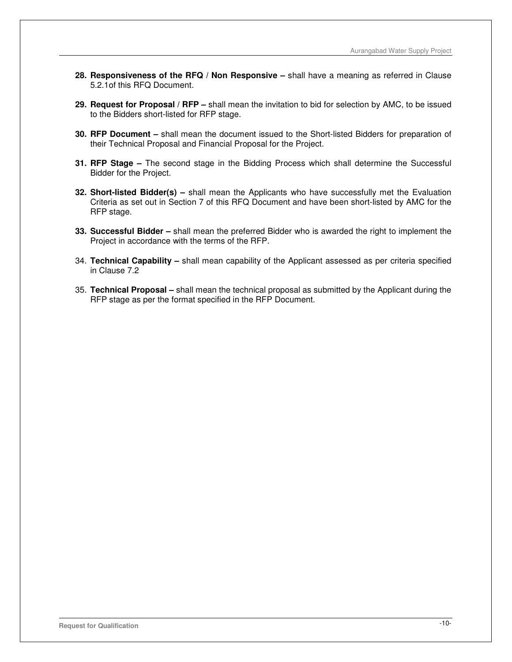- **28. Responsiveness of the RFQ / Non Responsive** shall have a meaning as referred in Clause 5.2.1of this RFQ Document.
- **29. Request for Proposal / RFP** shall mean the invitation to bid for selection by AMC, to be issued to the Bidders short-listed for RFP stage.
- **30. RFP Document** shall mean the document issued to the Short-listed Bidders for preparation of their Technical Proposal and Financial Proposal for the Project.
- **31. RFP Stage** The second stage in the Bidding Process which shall determine the Successful Bidder for the Project.
- **32. Short-listed Bidder(s)** shall mean the Applicants who have successfully met the Evaluation Criteria as set out in Section 7 of this RFQ Document and have been short-listed by AMC for the RFP stage.
- **33. Successful Bidder** shall mean the preferred Bidder who is awarded the right to implement the Project in accordance with the terms of the RFP.
- 34. **Technical Capability** shall mean capability of the Applicant assessed as per criteria specified in Clause 7.2
- 35. **Technical Proposal** shall mean the technical proposal as submitted by the Applicant during the RFP stage as per the format specified in the RFP Document.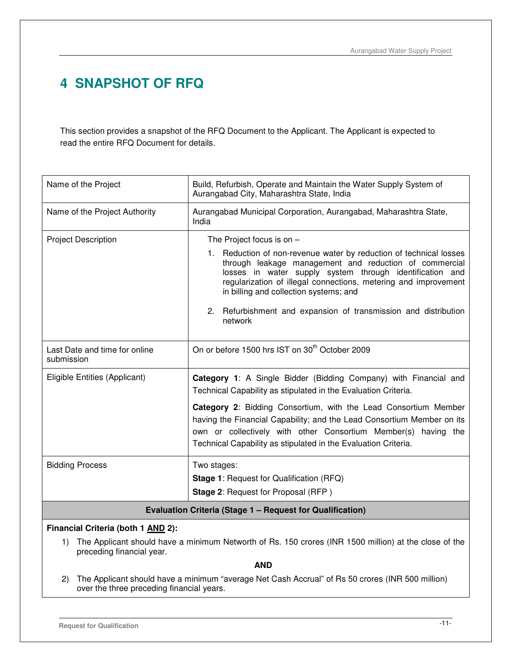# **4 SNAPSHOT OF RFQ**

This section provides a snapshot of the RFQ Document to the Applicant. The Applicant is expected to read the entire RFQ Document for details.

| Name of the Project                                       | Build, Refurbish, Operate and Maintain the Water Supply System of<br>Aurangabad City, Maharashtra State, India                                                                                                                                                                                                                                                                                                      |  |
|-----------------------------------------------------------|---------------------------------------------------------------------------------------------------------------------------------------------------------------------------------------------------------------------------------------------------------------------------------------------------------------------------------------------------------------------------------------------------------------------|--|
| Name of the Project Authority                             | Aurangabad Municipal Corporation, Aurangabad, Maharashtra State,<br>India                                                                                                                                                                                                                                                                                                                                           |  |
| <b>Project Description</b>                                | The Project focus is on $-$<br>1. Reduction of non-revenue water by reduction of technical losses<br>through leakage management and reduction of commercial<br>losses in water supply system through identification and<br>regularization of illegal connections, metering and improvement<br>in billing and collection systems; and<br>2. Refurbishment and expansion of transmission and distribution<br>network  |  |
| Last Date and time for online<br>submission               | On or before 1500 hrs IST on 30 <sup>th</sup> October 2009                                                                                                                                                                                                                                                                                                                                                          |  |
| Eligible Entities (Applicant)                             | Category 1: A Single Bidder (Bidding Company) with Financial and<br>Technical Capability as stipulated in the Evaluation Criteria.<br>Category 2: Bidding Consortium, with the Lead Consortium Member<br>having the Financial Capability; and the Lead Consortium Member on its<br>own or collectively with other Consortium Member(s) having the<br>Technical Capability as stipulated in the Evaluation Criteria. |  |
| <b>Bidding Process</b>                                    | Two stages:<br><b>Stage 1: Request for Qualification (RFQ)</b><br><b>Stage 2: Request for Proposal (RFP)</b>                                                                                                                                                                                                                                                                                                        |  |
| Evaluation Criteria (Stage 1 - Request for Qualification) |                                                                                                                                                                                                                                                                                                                                                                                                                     |  |

## **Financial Criteria (both 1 AND 2):**

1) The Applicant should have a minimum Networth of Rs. 150 crores (INR 1500 million) at the close of the preceding financial year.

## **AND**

2) The Applicant should have a minimum "average Net Cash Accrual" of Rs 50 crores (INR 500 million) over the three preceding financial years.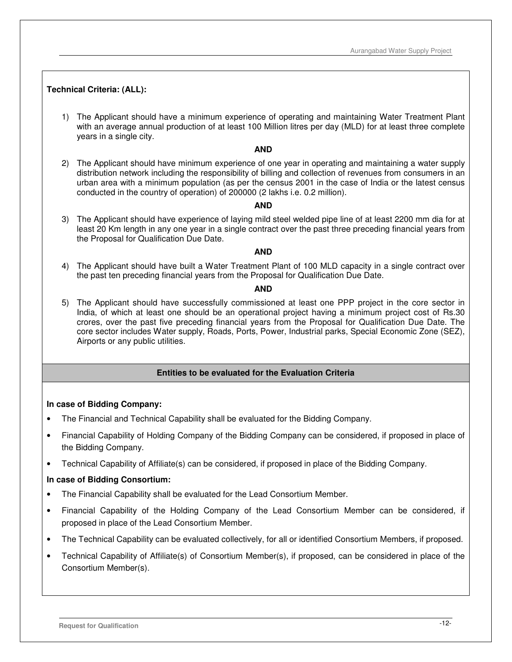## **Technical Criteria: (ALL):**

1) The Applicant should have a minimum experience of operating and maintaining Water Treatment Plant with an average annual production of at least 100 Million litres per day (MLD) for at least three complete years in a single city.

#### **AND**

2) The Applicant should have minimum experience of one year in operating and maintaining a water supply distribution network including the responsibility of billing and collection of revenues from consumers in an urban area with a minimum population (as per the census 2001 in the case of India or the latest census conducted in the country of operation) of 200000 (2 lakhs i.e. 0.2 million).

#### **AND**

3) The Applicant should have experience of laying mild steel welded pipe line of at least 2200 mm dia for at least 20 Km length in any one year in a single contract over the past three preceding financial years from the Proposal for Qualification Due Date.

#### **AND**

4) The Applicant should have built a Water Treatment Plant of 100 MLD capacity in a single contract over the past ten preceding financial years from the Proposal for Qualification Due Date.

#### **AND**

5) The Applicant should have successfully commissioned at least one PPP project in the core sector in India, of which at least one should be an operational project having a minimum project cost of Rs.30 crores, over the past five preceding financial years from the Proposal for Qualification Due Date. The core sector includes Water supply, Roads, Ports, Power, Industrial parks, Special Economic Zone (SEZ), Airports or any public utilities.

#### **Entities to be evaluated for the Evaluation Criteria**

#### **In case of Bidding Company:**

- The Financial and Technical Capability shall be evaluated for the Bidding Company.
- Financial Capability of Holding Company of the Bidding Company can be considered, if proposed in place of the Bidding Company.
- Technical Capability of Affiliate(s) can be considered, if proposed in place of the Bidding Company.

#### **In case of Bidding Consortium:**

- The Financial Capability shall be evaluated for the Lead Consortium Member.
- Financial Capability of the Holding Company of the Lead Consortium Member can be considered, if proposed in place of the Lead Consortium Member.
- The Technical Capability can be evaluated collectively, for all or identified Consortium Members, if proposed.
- Technical Capability of Affiliate(s) of Consortium Member(s), if proposed, can be considered in place of the Consortium Member(s).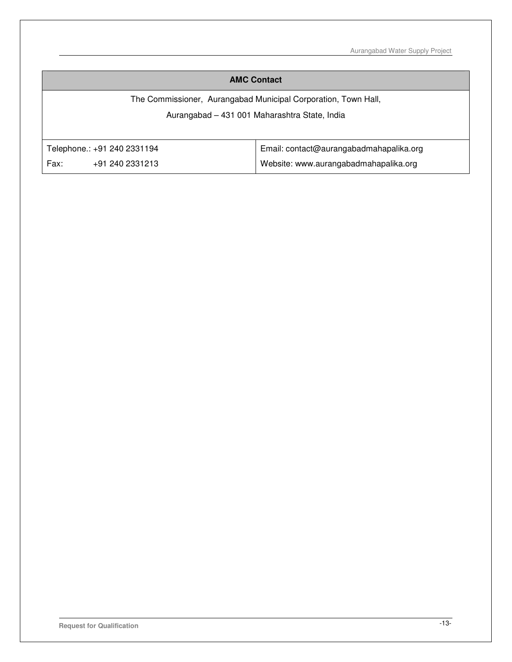Aurangabad Water Supply Project

## **AMC Contact**

The Commissioner, Aurangabad Municipal Corporation, Town Hall,

# Aurangabad – 431 001 Maharashtra State, India

|      | Telephone.: +91 240 2331194 | Email: contact@aurangabadmahapalika.org |
|------|-----------------------------|-----------------------------------------|
| Fax: | +91 240 2331213             | Website: www.aurangabadmahapalika.org   |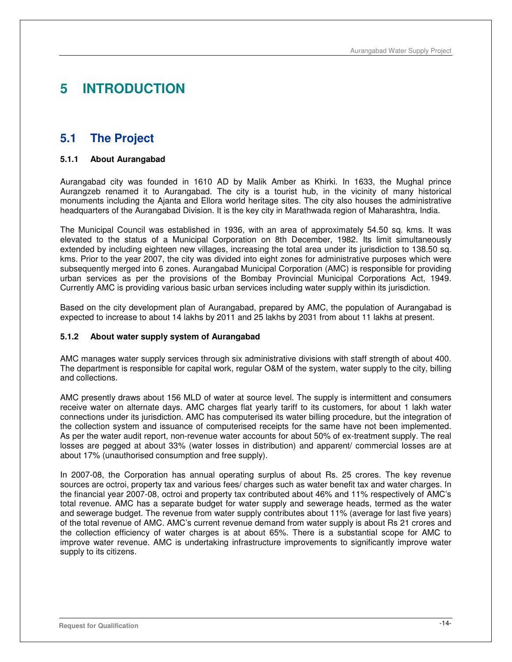# **5 INTRODUCTION**

# **5.1 The Project**

## **5.1.1 About Aurangabad**

Aurangabad city was founded in 1610 AD by Malik Amber as Khirki. In 1633, the Mughal prince Aurangzeb renamed it to Aurangabad. The city is a tourist hub, in the vicinity of many historical monuments including the Ajanta and Ellora world heritage sites. The city also houses the administrative headquarters of the Aurangabad Division. It is the key city in Marathwada region of Maharashtra, India.

The Municipal Council was established in 1936, with an area of approximately 54.50 sq. kms. It was elevated to the status of a Municipal Corporation on 8th December, 1982. Its limit simultaneously extended by including eighteen new villages, increasing the total area under its jurisdiction to 138.50 sq. kms. Prior to the year 2007, the city was divided into eight zones for administrative purposes which were subsequently merged into 6 zones. Aurangabad Municipal Corporation (AMC) is responsible for providing urban services as per the provisions of the Bombay Provincial Municipal Corporations Act, 1949. Currently AMC is providing various basic urban services including water supply within its jurisdiction.

Based on the city development plan of Aurangabad, prepared by AMC, the population of Aurangabad is expected to increase to about 14 lakhs by 2011 and 25 lakhs by 2031 from about 11 lakhs at present.

#### **5.1.2 About water supply system of Aurangabad**

AMC manages water supply services through six administrative divisions with staff strength of about 400. The department is responsible for capital work, regular O&M of the system, water supply to the city, billing and collections.

AMC presently draws about 156 MLD of water at source level. The supply is intermittent and consumers receive water on alternate days. AMC charges flat yearly tariff to its customers, for about 1 lakh water connections under its jurisdiction. AMC has computerised its water billing procedure, but the integration of the collection system and issuance of computerised receipts for the same have not been implemented. As per the water audit report, non-revenue water accounts for about 50% of ex-treatment supply. The real losses are pegged at about 33% (water losses in distribution) and apparent/ commercial losses are at about 17% (unauthorised consumption and free supply).

In 2007-08, the Corporation has annual operating surplus of about Rs. 25 crores. The key revenue sources are octroi, property tax and various fees/ charges such as water benefit tax and water charges. In the financial year 2007-08, octroi and property tax contributed about 46% and 11% respectively of AMC's total revenue. AMC has a separate budget for water supply and sewerage heads, termed as the water and sewerage budget. The revenue from water supply contributes about 11% (average for last five years) of the total revenue of AMC. AMC's current revenue demand from water supply is about Rs 21 crores and the collection efficiency of water charges is at about 65%. There is a substantial scope for AMC to improve water revenue. AMC is undertaking infrastructure improvements to significantly improve water supply to its citizens.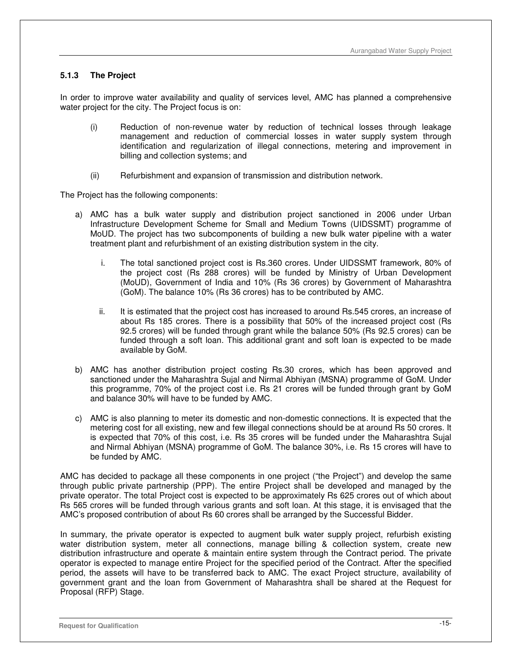## **5.1.3 The Project**

In order to improve water availability and quality of services level, AMC has planned a comprehensive water project for the city. The Project focus is on:

- (i) Reduction of non-revenue water by reduction of technical losses through leakage management and reduction of commercial losses in water supply system through identification and regularization of illegal connections, metering and improvement in billing and collection systems; and
- (ii) Refurbishment and expansion of transmission and distribution network.

The Project has the following components:

- a) AMC has a bulk water supply and distribution project sanctioned in 2006 under Urban Infrastructure Development Scheme for Small and Medium Towns (UIDSSMT) programme of MoUD. The project has two subcomponents of building a new bulk water pipeline with a water treatment plant and refurbishment of an existing distribution system in the city.
	- i. The total sanctioned project cost is Rs.360 crores. Under UIDSSMT framework, 80% of the project cost (Rs 288 crores) will be funded by Ministry of Urban Development (MoUD), Government of India and 10% (Rs 36 crores) by Government of Maharashtra (GoM). The balance 10% (Rs 36 crores) has to be contributed by AMC.
	- ii. It is estimated that the project cost has increased to around Rs.545 crores, an increase of about Rs 185 crores. There is a possibility that 50% of the increased project cost (Rs 92.5 crores) will be funded through grant while the balance 50% (Rs 92.5 crores) can be funded through a soft loan. This additional grant and soft loan is expected to be made available by GoM.
- b) AMC has another distribution project costing Rs.30 crores, which has been approved and sanctioned under the Maharashtra Sujal and Nirmal Abhiyan (MSNA) programme of GoM. Under this programme, 70% of the project cost i.e. Rs 21 crores will be funded through grant by GoM and balance 30% will have to be funded by AMC.
- c) AMC is also planning to meter its domestic and non-domestic connections. It is expected that the metering cost for all existing, new and few illegal connections should be at around Rs 50 crores. It is expected that 70% of this cost, i.e. Rs 35 crores will be funded under the Maharashtra Sujal and Nirmal Abhiyan (MSNA) programme of GoM. The balance 30%, i.e. Rs 15 crores will have to be funded by AMC.

AMC has decided to package all these components in one project ("the Project") and develop the same through public private partnership (PPP). The entire Project shall be developed and managed by the private operator. The total Project cost is expected to be approximately Rs 625 crores out of which about Rs 565 crores will be funded through various grants and soft loan. At this stage, it is envisaged that the AMC's proposed contribution of about Rs 60 crores shall be arranged by the Successful Bidder.

In summary, the private operator is expected to augment bulk water supply project, refurbish existing water distribution system, meter all connections, manage billing & collection system, create new distribution infrastructure and operate & maintain entire system through the Contract period. The private operator is expected to manage entire Project for the specified period of the Contract. After the specified period, the assets will have to be transferred back to AMC. The exact Project structure, availability of government grant and the loan from Government of Maharashtra shall be shared at the Request for Proposal (RFP) Stage.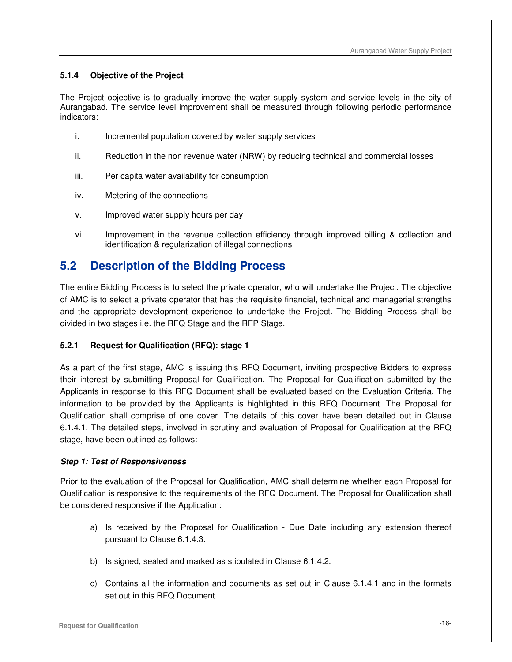## **5.1.4 Objective of the Project**

The Project objective is to gradually improve the water supply system and service levels in the city of Aurangabad. The service level improvement shall be measured through following periodic performance indicators:

- i. Incremental population covered by water supply services
- ii. Reduction in the non revenue water (NRW) by reducing technical and commercial losses
- iii. Per capita water availability for consumption
- iv. Metering of the connections
- v. Improved water supply hours per day
- vi. Improvement in the revenue collection efficiency through improved billing & collection and identification & regularization of illegal connections

# **5.2 Description of the Bidding Process**

The entire Bidding Process is to select the private operator, who will undertake the Project. The objective of AMC is to select a private operator that has the requisite financial, technical and managerial strengths and the appropriate development experience to undertake the Project. The Bidding Process shall be divided in two stages i.e. the RFQ Stage and the RFP Stage.

## **5.2.1 Request for Qualification (RFQ): stage 1**

As a part of the first stage, AMC is issuing this RFQ Document, inviting prospective Bidders to express their interest by submitting Proposal for Qualification. The Proposal for Qualification submitted by the Applicants in response to this RFQ Document shall be evaluated based on the Evaluation Criteria. The information to be provided by the Applicants is highlighted in this RFQ Document. The Proposal for Qualification shall comprise of one cover. The details of this cover have been detailed out in Clause 6.1.4.1. The detailed steps, involved in scrutiny and evaluation of Proposal for Qualification at the RFQ stage, have been outlined as follows:

#### **Step 1: Test of Responsiveness**

Prior to the evaluation of the Proposal for Qualification, AMC shall determine whether each Proposal for Qualification is responsive to the requirements of the RFQ Document. The Proposal for Qualification shall be considered responsive if the Application:

- a) Is received by the Proposal for Qualification Due Date including any extension thereof pursuant to Clause 6.1.4.3.
- b) Is signed, sealed and marked as stipulated in Clause 6.1.4.2.
- c) Contains all the information and documents as set out in Clause 6.1.4.1 and in the formats set out in this RFQ Document.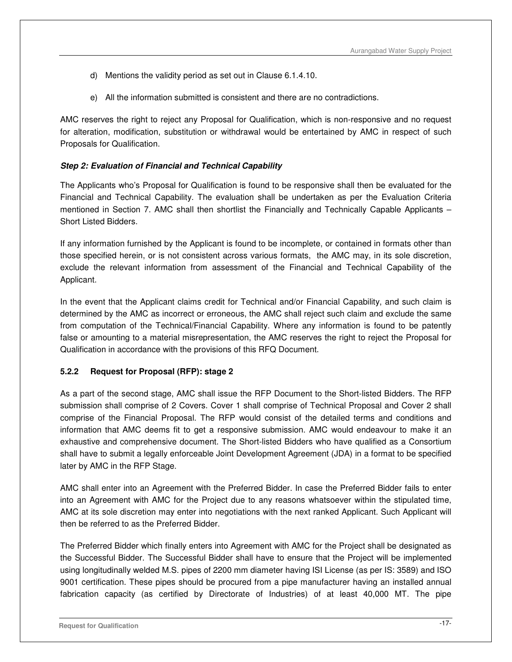- d) Mentions the validity period as set out in Clause 6.1.4.10.
- e) All the information submitted is consistent and there are no contradictions.

AMC reserves the right to reject any Proposal for Qualification, which is non-responsive and no request for alteration, modification, substitution or withdrawal would be entertained by AMC in respect of such Proposals for Qualification.

## **Step 2: Evaluation of Financial and Technical Capability**

The Applicants who's Proposal for Qualification is found to be responsive shall then be evaluated for the Financial and Technical Capability. The evaluation shall be undertaken as per the Evaluation Criteria mentioned in Section 7. AMC shall then shortlist the Financially and Technically Capable Applicants – Short Listed Bidders.

If any information furnished by the Applicant is found to be incomplete, or contained in formats other than those specified herein, or is not consistent across various formats, the AMC may, in its sole discretion, exclude the relevant information from assessment of the Financial and Technical Capability of the Applicant.

In the event that the Applicant claims credit for Technical and/or Financial Capability, and such claim is determined by the AMC as incorrect or erroneous, the AMC shall reject such claim and exclude the same from computation of the Technical/Financial Capability. Where any information is found to be patently false or amounting to a material misrepresentation, the AMC reserves the right to reject the Proposal for Qualification in accordance with the provisions of this RFQ Document.

## **5.2.2 Request for Proposal (RFP): stage 2**

As a part of the second stage, AMC shall issue the RFP Document to the Short-listed Bidders. The RFP submission shall comprise of 2 Covers. Cover 1 shall comprise of Technical Proposal and Cover 2 shall comprise of the Financial Proposal. The RFP would consist of the detailed terms and conditions and information that AMC deems fit to get a responsive submission. AMC would endeavour to make it an exhaustive and comprehensive document. The Short-listed Bidders who have qualified as a Consortium shall have to submit a legally enforceable Joint Development Agreement (JDA) in a format to be specified later by AMC in the RFP Stage.

AMC shall enter into an Agreement with the Preferred Bidder. In case the Preferred Bidder fails to enter into an Agreement with AMC for the Project due to any reasons whatsoever within the stipulated time, AMC at its sole discretion may enter into negotiations with the next ranked Applicant. Such Applicant will then be referred to as the Preferred Bidder.

The Preferred Bidder which finally enters into Agreement with AMC for the Project shall be designated as the Successful Bidder. The Successful Bidder shall have to ensure that the Project will be implemented using longitudinally welded M.S. pipes of 2200 mm diameter having ISI License (as per IS: 3589) and ISO 9001 certification. These pipes should be procured from a pipe manufacturer having an installed annual fabrication capacity (as certified by Directorate of Industries) of at least 40,000 MT. The pipe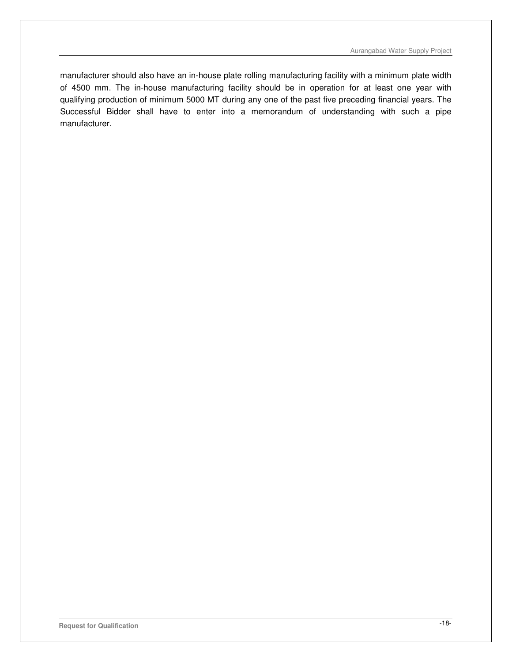manufacturer should also have an in-house plate rolling manufacturing facility with a minimum plate width of 4500 mm. The in-house manufacturing facility should be in operation for at least one year with qualifying production of minimum 5000 MT during any one of the past five preceding financial years. The Successful Bidder shall have to enter into a memorandum of understanding with such a pipe manufacturer.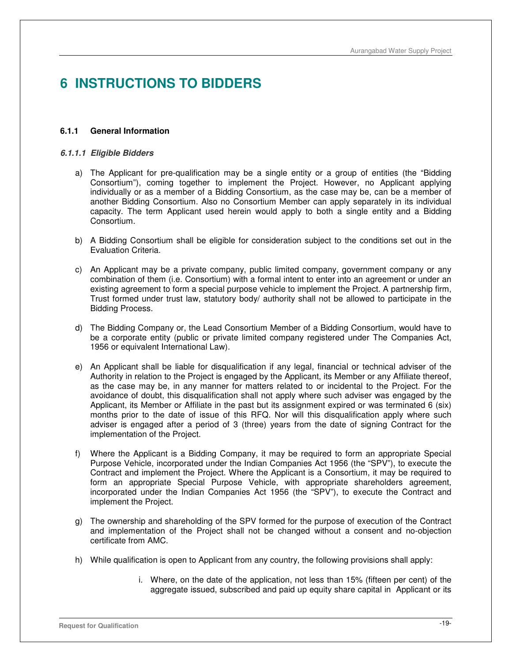# **6 INSTRUCTIONS TO BIDDERS**

#### **6.1.1 General Information**

#### **6.1.1.1 Eligible Bidders**

- a) The Applicant for pre-qualification may be a single entity or a group of entities (the "Bidding Consortium"), coming together to implement the Project. However, no Applicant applying individually or as a member of a Bidding Consortium, as the case may be, can be a member of another Bidding Consortium. Also no Consortium Member can apply separately in its individual capacity. The term Applicant used herein would apply to both a single entity and a Bidding Consortium.
- b) A Bidding Consortium shall be eligible for consideration subject to the conditions set out in the Evaluation Criteria.
- c) An Applicant may be a private company, public limited company, government company or any combination of them (i.e. Consortium) with a formal intent to enter into an agreement or under an existing agreement to form a special purpose vehicle to implement the Project. A partnership firm, Trust formed under trust law, statutory body/ authority shall not be allowed to participate in the Bidding Process.
- d) The Bidding Company or, the Lead Consortium Member of a Bidding Consortium, would have to be a corporate entity (public or private limited company registered under The Companies Act, 1956 or equivalent International Law).
- e) An Applicant shall be liable for disqualification if any legal, financial or technical adviser of the Authority in relation to the Project is engaged by the Applicant, its Member or any Affiliate thereof, as the case may be, in any manner for matters related to or incidental to the Project. For the avoidance of doubt, this disqualification shall not apply where such adviser was engaged by the Applicant, its Member or Affiliate in the past but its assignment expired or was terminated 6 (six) months prior to the date of issue of this RFQ. Nor will this disqualification apply where such adviser is engaged after a period of 3 (three) years from the date of signing Contract for the implementation of the Project.
- f) Where the Applicant is a Bidding Company, it may be required to form an appropriate Special Purpose Vehicle, incorporated under the Indian Companies Act 1956 (the "SPV"), to execute the Contract and implement the Project. Where the Applicant is a Consortium, it may be required to form an appropriate Special Purpose Vehicle, with appropriate shareholders agreement, incorporated under the Indian Companies Act 1956 (the "SPV"), to execute the Contract and implement the Project.
- g) The ownership and shareholding of the SPV formed for the purpose of execution of the Contract and implementation of the Project shall not be changed without a consent and no-objection certificate from AMC.
- h) While qualification is open to Applicant from any country, the following provisions shall apply:
	- i. Where, on the date of the application, not less than 15% (fifteen per cent) of the aggregate issued, subscribed and paid up equity share capital in Applicant or its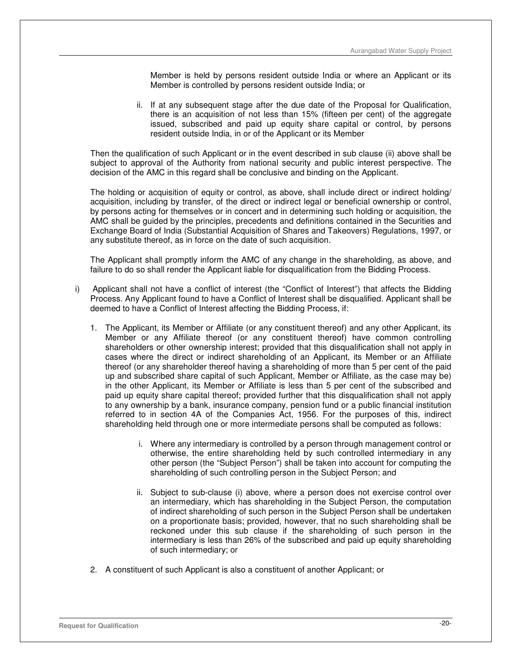Member is held by persons resident outside India or where an Applicant or its Member is controlled by persons resident outside India; or

ii. If at any subsequent stage after the due date of the Proposal for Qualification, there is an acquisition of not less than 15% (fifteen per cent) of the aggregate issued, subscribed and paid up equity share capital or control, by persons resident outside India, in or of the Applicant or its Member

Then the qualification of such Applicant or in the event described in sub clause (ii) above shall be subject to approval of the Authority from national security and public interest perspective. The decision of the AMC in this regard shall be conclusive and binding on the Applicant.

The holding or acquisition of equity or control, as above, shall include direct or indirect holding/ acquisition, including by transfer, of the direct or indirect legal or beneficial ownership or control, by persons acting for themselves or in concert and in determining such holding or acquisition, the AMC shall be guided by the principles, precedents and definitions contained in the Securities and Exchange Board of India (Substantial Acquisition of Shares and Takeovers) Regulations, 1997, or any substitute thereof, as in force on the date of such acquisition.

The Applicant shall promptly inform the AMC of any change in the shareholding, as above, and failure to do so shall render the Applicant liable for disqualification from the Bidding Process.

- i) Applicant shall not have a conflict of interest (the "Conflict of Interest") that affects the Bidding Process. Any Applicant found to have a Conflict of Interest shall be disqualified. Applicant shall be deemed to have a Conflict of Interest affecting the Bidding Process, if:
	- 1. The Applicant, its Member or Affiliate (or any constituent thereof) and any other Applicant, its Member or any Affiliate thereof (or any constituent thereof) have common controlling shareholders or other ownership interest; provided that this disqualification shall not apply in cases where the direct or indirect shareholding of an Applicant, its Member or an Affiliate thereof (or any shareholder thereof having a shareholding of more than 5 per cent of the paid up and subscribed share capital of such Applicant, Member or Affiliate, as the case may be) in the other Applicant, its Member or Affiliate is less than 5 per cent of the subscribed and paid up equity share capital thereof; provided further that this disqualification shall not apply to any ownership by a bank, insurance company, pension fund or a public financial institution referred to in section 4A of the Companies Act, 1956. For the purposes of this, indirect shareholding held through one or more intermediate persons shall be computed as follows:
		- i. Where any intermediary is controlled by a person through management control or otherwise, the entire shareholding held by such controlled intermediary in any other person (the "Subject Person") shall be taken into account for computing the shareholding of such controlling person in the Subject Person; and
		- ii. Subject to sub-clause (i) above, where a person does not exercise control over an intermediary, which has shareholding in the Subject Person, the computation of indirect shareholding of such person in the Subject Person shall be undertaken on a proportionate basis; provided, however, that no such shareholding shall be reckoned under this sub clause if the shareholding of such person in the intermediary is less than 26% of the subscribed and paid up equity shareholding of such intermediary; or
	- 2. A constituent of such Applicant is also a constituent of another Applicant; or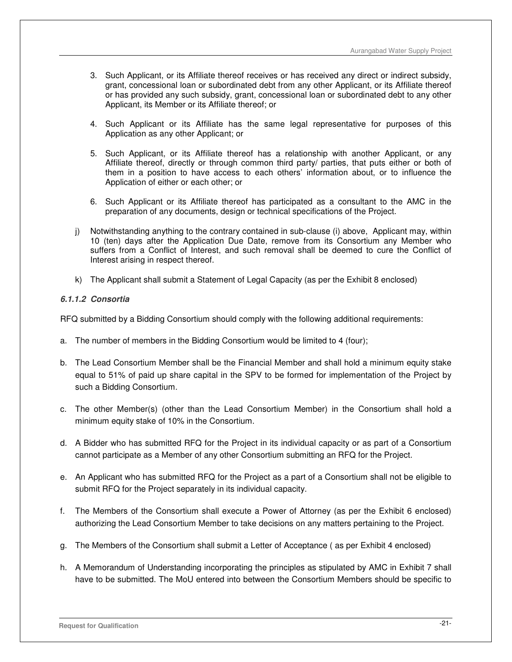- 3. Such Applicant, or its Affiliate thereof receives or has received any direct or indirect subsidy, grant, concessional loan or subordinated debt from any other Applicant, or its Affiliate thereof or has provided any such subsidy, grant, concessional loan or subordinated debt to any other Applicant, its Member or its Affiliate thereof; or
- 4. Such Applicant or its Affiliate has the same legal representative for purposes of this Application as any other Applicant; or
- 5. Such Applicant, or its Affiliate thereof has a relationship with another Applicant, or any Affiliate thereof, directly or through common third party/ parties, that puts either or both of them in a position to have access to each others' information about, or to influence the Application of either or each other; or
- 6. Such Applicant or its Affiliate thereof has participated as a consultant to the AMC in the preparation of any documents, design or technical specifications of the Project.
- j) Notwithstanding anything to the contrary contained in sub-clause (i) above, Applicant may, within 10 (ten) days after the Application Due Date, remove from its Consortium any Member who suffers from a Conflict of Interest, and such removal shall be deemed to cure the Conflict of Interest arising in respect thereof.
- k) The Applicant shall submit a Statement of Legal Capacity (as per the Exhibit 8 enclosed)

## **6.1.1.2 Consortia**

RFQ submitted by a Bidding Consortium should comply with the following additional requirements:

- a. The number of members in the Bidding Consortium would be limited to 4 (four);
- b. The Lead Consortium Member shall be the Financial Member and shall hold a minimum equity stake equal to 51% of paid up share capital in the SPV to be formed for implementation of the Project by such a Bidding Consortium.
- c. The other Member(s) (other than the Lead Consortium Member) in the Consortium shall hold a minimum equity stake of 10% in the Consortium.
- d. A Bidder who has submitted RFQ for the Project in its individual capacity or as part of a Consortium cannot participate as a Member of any other Consortium submitting an RFQ for the Project.
- e. An Applicant who has submitted RFQ for the Project as a part of a Consortium shall not be eligible to submit RFQ for the Project separately in its individual capacity.
- f. The Members of the Consortium shall execute a Power of Attorney (as per the Exhibit 6 enclosed) authorizing the Lead Consortium Member to take decisions on any matters pertaining to the Project.
- g. The Members of the Consortium shall submit a Letter of Acceptance ( as per Exhibit 4 enclosed)
- h. A Memorandum of Understanding incorporating the principles as stipulated by AMC in Exhibit 7 shall have to be submitted. The MoU entered into between the Consortium Members should be specific to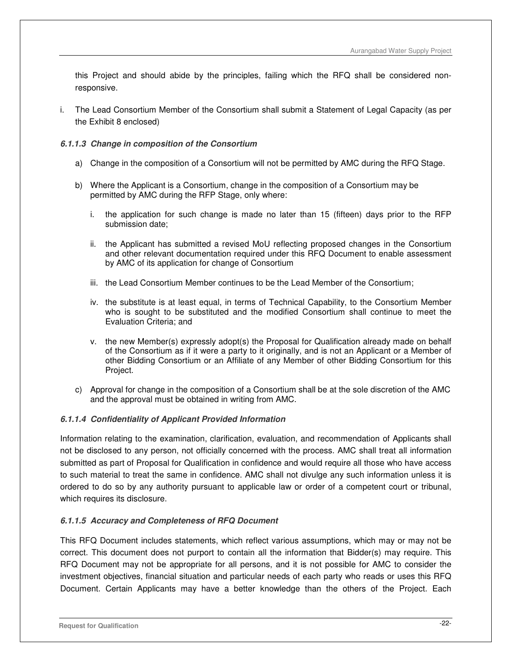this Project and should abide by the principles, failing which the RFQ shall be considered nonresponsive.

i. The Lead Consortium Member of the Consortium shall submit a Statement of Legal Capacity (as per the Exhibit 8 enclosed)

#### **6.1.1.3 Change in composition of the Consortium**

- a) Change in the composition of a Consortium will not be permitted by AMC during the RFQ Stage.
- b) Where the Applicant is a Consortium, change in the composition of a Consortium may be permitted by AMC during the RFP Stage, only where:
	- i. the application for such change is made no later than 15 (fifteen) days prior to the RFP submission date;
	- ii. the Applicant has submitted a revised MoU reflecting proposed changes in the Consortium and other relevant documentation required under this RFQ Document to enable assessment by AMC of its application for change of Consortium
	- iii. the Lead Consortium Member continues to be the Lead Member of the Consortium;
	- iv. the substitute is at least equal, in terms of Technical Capability, to the Consortium Member who is sought to be substituted and the modified Consortium shall continue to meet the Evaluation Criteria; and
	- v. the new Member(s) expressly adopt(s) the Proposal for Qualification already made on behalf of the Consortium as if it were a party to it originally, and is not an Applicant or a Member of other Bidding Consortium or an Affiliate of any Member of other Bidding Consortium for this Project.
- c) Approval for change in the composition of a Consortium shall be at the sole discretion of the AMC and the approval must be obtained in writing from AMC.

#### **6.1.1.4 Confidentiality of Applicant Provided Information**

Information relating to the examination, clarification, evaluation, and recommendation of Applicants shall not be disclosed to any person, not officially concerned with the process. AMC shall treat all information submitted as part of Proposal for Qualification in confidence and would require all those who have access to such material to treat the same in confidence. AMC shall not divulge any such information unless it is ordered to do so by any authority pursuant to applicable law or order of a competent court or tribunal, which requires its disclosure.

## **6.1.1.5 Accuracy and Completeness of RFQ Document**

This RFQ Document includes statements, which reflect various assumptions, which may or may not be correct. This document does not purport to contain all the information that Bidder(s) may require. This RFQ Document may not be appropriate for all persons, and it is not possible for AMC to consider the investment objectives, financial situation and particular needs of each party who reads or uses this RFQ Document. Certain Applicants may have a better knowledge than the others of the Project. Each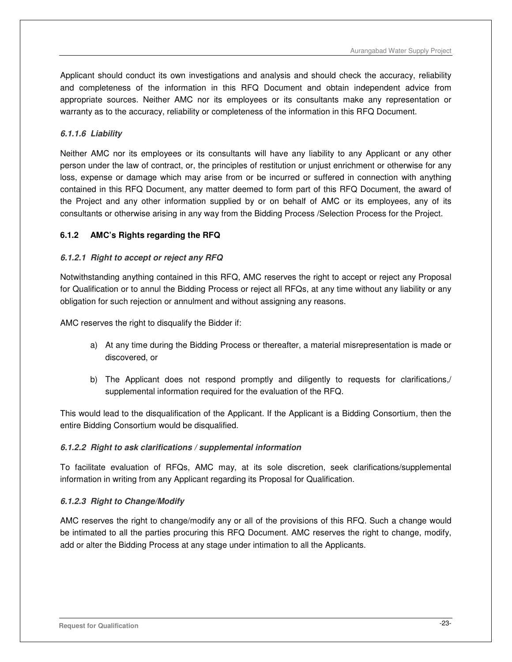Applicant should conduct its own investigations and analysis and should check the accuracy, reliability and completeness of the information in this RFQ Document and obtain independent advice from appropriate sources. Neither AMC nor its employees or its consultants make any representation or warranty as to the accuracy, reliability or completeness of the information in this RFQ Document.

## **6.1.1.6 Liability**

Neither AMC nor its employees or its consultants will have any liability to any Applicant or any other person under the law of contract, or, the principles of restitution or unjust enrichment or otherwise for any loss, expense or damage which may arise from or be incurred or suffered in connection with anything contained in this RFQ Document, any matter deemed to form part of this RFQ Document, the award of the Project and any other information supplied by or on behalf of AMC or its employees, any of its consultants or otherwise arising in any way from the Bidding Process /Selection Process for the Project.

## **6.1.2 AMC's Rights regarding the RFQ**

## **6.1.2.1 Right to accept or reject any RFQ**

Notwithstanding anything contained in this RFQ, AMC reserves the right to accept or reject any Proposal for Qualification or to annul the Bidding Process or reject all RFQs, at any time without any liability or any obligation for such rejection or annulment and without assigning any reasons.

AMC reserves the right to disqualify the Bidder if:

- a) At any time during the Bidding Process or thereafter, a material misrepresentation is made or discovered, or
- b) The Applicant does not respond promptly and diligently to requests for clarifications,/ supplemental information required for the evaluation of the RFQ.

This would lead to the disqualification of the Applicant. If the Applicant is a Bidding Consortium, then the entire Bidding Consortium would be disqualified.

## **6.1.2.2 Right to ask clarifications / supplemental information**

To facilitate evaluation of RFQs, AMC may, at its sole discretion, seek clarifications/supplemental information in writing from any Applicant regarding its Proposal for Qualification.

## **6.1.2.3 Right to Change/Modify**

AMC reserves the right to change/modify any or all of the provisions of this RFQ. Such a change would be intimated to all the parties procuring this RFQ Document. AMC reserves the right to change, modify, add or alter the Bidding Process at any stage under intimation to all the Applicants.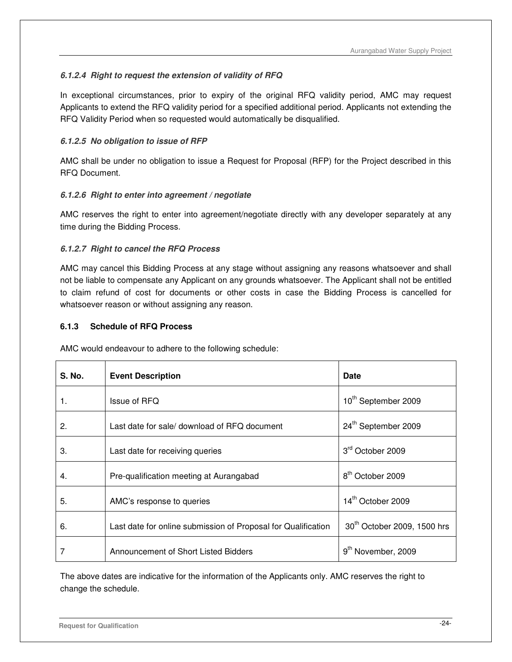# **6.1.2.4 Right to request the extension of validity of RFQ**

In exceptional circumstances, prior to expiry of the original RFQ validity period, AMC may request Applicants to extend the RFQ validity period for a specified additional period. Applicants not extending the RFQ Validity Period when so requested would automatically be disqualified.

# **6.1.2.5 No obligation to issue of RFP**

AMC shall be under no obligation to issue a Request for Proposal (RFP) for the Project described in this RFQ Document.

# **6.1.2.6 Right to enter into agreement / negotiate**

AMC reserves the right to enter into agreement/negotiate directly with any developer separately at any time during the Bidding Process.

## **6.1.2.7 Right to cancel the RFQ Process**

AMC may cancel this Bidding Process at any stage without assigning any reasons whatsoever and shall not be liable to compensate any Applicant on any grounds whatsoever. The Applicant shall not be entitled to claim refund of cost for documents or other costs in case the Bidding Process is cancelled for whatsoever reason or without assigning any reason.

## **6.1.3 Schedule of RFQ Process**

AMC would endeavour to adhere to the following schedule:

| <b>S. No.</b> | <b>Event Description</b>                                      | Date                                    |
|---------------|---------------------------------------------------------------|-----------------------------------------|
| 1.            | Issue of RFQ                                                  | 10 <sup>th</sup> September 2009         |
| 2.            | Last date for sale/ download of RFQ document                  | 24th September 2009                     |
| 3.            | Last date for receiving queries                               | 3rd October 2009                        |
| 4.            | Pre-qualification meeting at Aurangabad                       | 8 <sup>th</sup> October 2009            |
| 5.            | AMC's response to queries                                     | 14 <sup>th</sup> October 2009           |
| 6.            | Last date for online submission of Proposal for Qualification | 30 <sup>th</sup> October 2009, 1500 hrs |
|               | Announcement of Short Listed Bidders                          | 9 <sup>th</sup> November, 2009          |

The above dates are indicative for the information of the Applicants only. AMC reserves the right to change the schedule.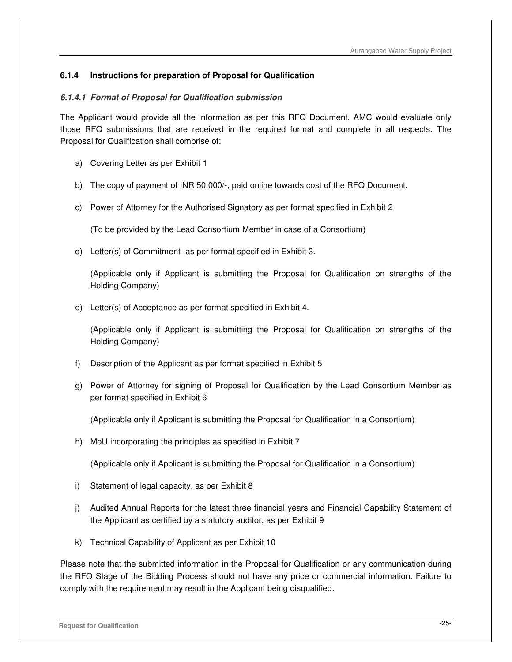## **6.1.4 Instructions for preparation of Proposal for Qualification**

#### **6.1.4.1 Format of Proposal for Qualification submission**

The Applicant would provide all the information as per this RFQ Document. AMC would evaluate only those RFQ submissions that are received in the required format and complete in all respects. The Proposal for Qualification shall comprise of:

- a) Covering Letter as per Exhibit 1
- b) The copy of payment of INR 50,000/-, paid online towards cost of the RFQ Document.
- c) Power of Attorney for the Authorised Signatory as per format specified in Exhibit 2

(To be provided by the Lead Consortium Member in case of a Consortium)

d) Letter(s) of Commitment- as per format specified in Exhibit 3.

(Applicable only if Applicant is submitting the Proposal for Qualification on strengths of the Holding Company)

e) Letter(s) of Acceptance as per format specified in Exhibit 4.

(Applicable only if Applicant is submitting the Proposal for Qualification on strengths of the Holding Company)

- f) Description of the Applicant as per format specified in Exhibit 5
- g) Power of Attorney for signing of Proposal for Qualification by the Lead Consortium Member as per format specified in Exhibit 6

(Applicable only if Applicant is submitting the Proposal for Qualification in a Consortium)

h) MoU incorporating the principles as specified in Exhibit 7

(Applicable only if Applicant is submitting the Proposal for Qualification in a Consortium)

- i) Statement of legal capacity, as per Exhibit 8
- j) Audited Annual Reports for the latest three financial years and Financial Capability Statement of the Applicant as certified by a statutory auditor, as per Exhibit 9
- k) Technical Capability of Applicant as per Exhibit 10

Please note that the submitted information in the Proposal for Qualification or any communication during the RFQ Stage of the Bidding Process should not have any price or commercial information. Failure to comply with the requirement may result in the Applicant being disqualified.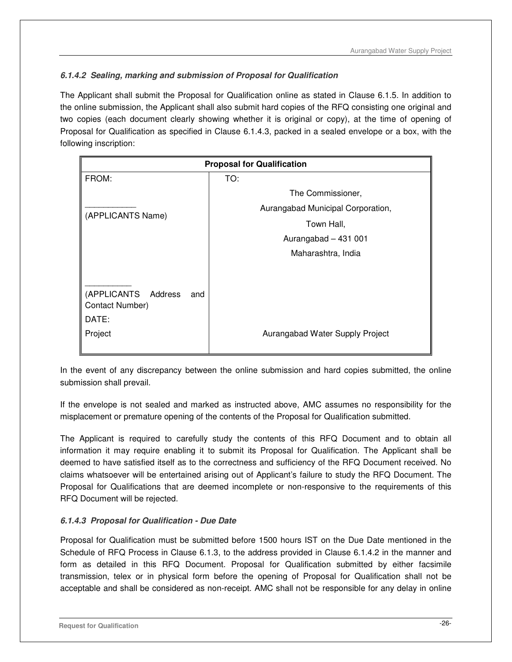# **6.1.4.2 Sealing, marking and submission of Proposal for Qualification**

The Applicant shall submit the Proposal for Qualification online as stated in Clause 6.1.5. In addition to the online submission, the Applicant shall also submit hard copies of the RFQ consisting one original and two copies (each document clearly showing whether it is original or copy), at the time of opening of Proposal for Qualification as specified in Clause 6.1.4.3, packed in a sealed envelope or a box, with the following inscription:

| <b>Proposal for Qualification</b>                                    |                                   |  |
|----------------------------------------------------------------------|-----------------------------------|--|
| FROM:                                                                | TO:                               |  |
|                                                                      | The Commissioner,                 |  |
| (APPLICANTS Name)                                                    | Aurangabad Municipal Corporation, |  |
|                                                                      | Town Hall,                        |  |
|                                                                      | Aurangabad - 431 001              |  |
|                                                                      | Maharashtra, India                |  |
|                                                                      |                                   |  |
| (APPLICANTS<br>Address<br>and<br>Contact Number)<br>DATE:<br>Project | Aurangabad Water Supply Project   |  |
|                                                                      |                                   |  |

In the event of any discrepancy between the online submission and hard copies submitted, the online submission shall prevail.

If the envelope is not sealed and marked as instructed above, AMC assumes no responsibility for the misplacement or premature opening of the contents of the Proposal for Qualification submitted.

The Applicant is required to carefully study the contents of this RFQ Document and to obtain all information it may require enabling it to submit its Proposal for Qualification. The Applicant shall be deemed to have satisfied itself as to the correctness and sufficiency of the RFQ Document received. No claims whatsoever will be entertained arising out of Applicant's failure to study the RFQ Document. The Proposal for Qualifications that are deemed incomplete or non-responsive to the requirements of this RFQ Document will be rejected.

# **6.1.4.3 Proposal for Qualification - Due Date**

Proposal for Qualification must be submitted before 1500 hours IST on the Due Date mentioned in the Schedule of RFQ Process in Clause 6.1.3, to the address provided in Clause 6.1.4.2 in the manner and form as detailed in this RFQ Document. Proposal for Qualification submitted by either facsimile transmission, telex or in physical form before the opening of Proposal for Qualification shall not be acceptable and shall be considered as non-receipt. AMC shall not be responsible for any delay in online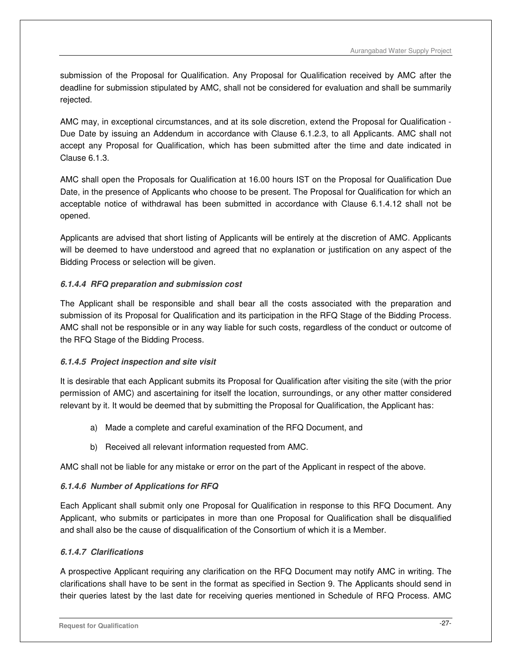submission of the Proposal for Qualification. Any Proposal for Qualification received by AMC after the deadline for submission stipulated by AMC, shall not be considered for evaluation and shall be summarily rejected.

AMC may, in exceptional circumstances, and at its sole discretion, extend the Proposal for Qualification - Due Date by issuing an Addendum in accordance with Clause 6.1.2.3, to all Applicants. AMC shall not accept any Proposal for Qualification, which has been submitted after the time and date indicated in Clause 6.1.3.

AMC shall open the Proposals for Qualification at 16.00 hours IST on the Proposal for Qualification Due Date, in the presence of Applicants who choose to be present. The Proposal for Qualification for which an acceptable notice of withdrawal has been submitted in accordance with Clause 6.1.4.12 shall not be opened.

Applicants are advised that short listing of Applicants will be entirely at the discretion of AMC. Applicants will be deemed to have understood and agreed that no explanation or justification on any aspect of the Bidding Process or selection will be given.

# **6.1.4.4 RFQ preparation and submission cost**

The Applicant shall be responsible and shall bear all the costs associated with the preparation and submission of its Proposal for Qualification and its participation in the RFQ Stage of the Bidding Process. AMC shall not be responsible or in any way liable for such costs, regardless of the conduct or outcome of the RFQ Stage of the Bidding Process.

# **6.1.4.5 Project inspection and site visit**

It is desirable that each Applicant submits its Proposal for Qualification after visiting the site (with the prior permission of AMC) and ascertaining for itself the location, surroundings, or any other matter considered relevant by it. It would be deemed that by submitting the Proposal for Qualification, the Applicant has:

- a) Made a complete and careful examination of the RFQ Document, and
- b) Received all relevant information requested from AMC.

AMC shall not be liable for any mistake or error on the part of the Applicant in respect of the above.

# **6.1.4.6 Number of Applications for RFQ**

Each Applicant shall submit only one Proposal for Qualification in response to this RFQ Document. Any Applicant, who submits or participates in more than one Proposal for Qualification shall be disqualified and shall also be the cause of disqualification of the Consortium of which it is a Member.

# **6.1.4.7 Clarifications**

A prospective Applicant requiring any clarification on the RFQ Document may notify AMC in writing. The clarifications shall have to be sent in the format as specified in Section 9. The Applicants should send in their queries latest by the last date for receiving queries mentioned in Schedule of RFQ Process. AMC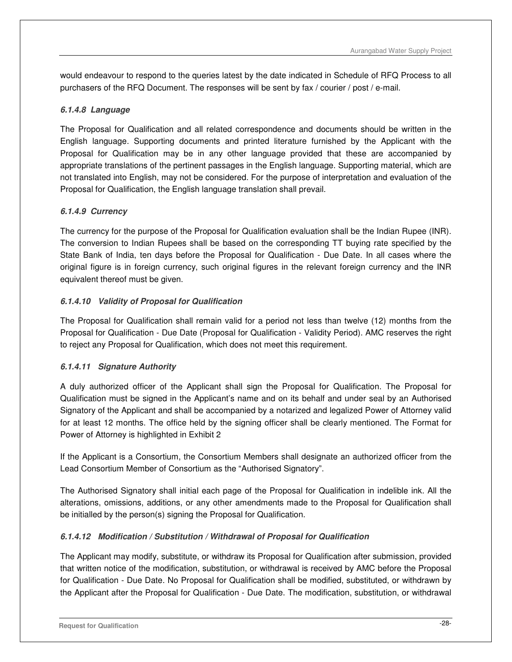would endeavour to respond to the queries latest by the date indicated in Schedule of RFQ Process to all purchasers of the RFQ Document. The responses will be sent by fax / courier / post / e-mail.

# **6.1.4.8 Language**

The Proposal for Qualification and all related correspondence and documents should be written in the English language. Supporting documents and printed literature furnished by the Applicant with the Proposal for Qualification may be in any other language provided that these are accompanied by appropriate translations of the pertinent passages in the English language. Supporting material, which are not translated into English, may not be considered. For the purpose of interpretation and evaluation of the Proposal for Qualification, the English language translation shall prevail.

# **6.1.4.9 Currency**

The currency for the purpose of the Proposal for Qualification evaluation shall be the Indian Rupee (INR). The conversion to Indian Rupees shall be based on the corresponding TT buying rate specified by the State Bank of India, ten days before the Proposal for Qualification - Due Date. In all cases where the original figure is in foreign currency, such original figures in the relevant foreign currency and the INR equivalent thereof must be given.

# **6.1.4.10 Validity of Proposal for Qualification**

The Proposal for Qualification shall remain valid for a period not less than twelve (12) months from the Proposal for Qualification - Due Date (Proposal for Qualification - Validity Period). AMC reserves the right to reject any Proposal for Qualification, which does not meet this requirement.

## **6.1.4.11 Signature Authority**

A duly authorized officer of the Applicant shall sign the Proposal for Qualification. The Proposal for Qualification must be signed in the Applicant's name and on its behalf and under seal by an Authorised Signatory of the Applicant and shall be accompanied by a notarized and legalized Power of Attorney valid for at least 12 months. The office held by the signing officer shall be clearly mentioned. The Format for Power of Attorney is highlighted in Exhibit 2

If the Applicant is a Consortium, the Consortium Members shall designate an authorized officer from the Lead Consortium Member of Consortium as the "Authorised Signatory".

The Authorised Signatory shall initial each page of the Proposal for Qualification in indelible ink. All the alterations, omissions, additions, or any other amendments made to the Proposal for Qualification shall be initialled by the person(s) signing the Proposal for Qualification.

# **6.1.4.12 Modification / Substitution / Withdrawal of Proposal for Qualification**

The Applicant may modify, substitute, or withdraw its Proposal for Qualification after submission, provided that written notice of the modification, substitution, or withdrawal is received by AMC before the Proposal for Qualification - Due Date. No Proposal for Qualification shall be modified, substituted, or withdrawn by the Applicant after the Proposal for Qualification - Due Date. The modification, substitution, or withdrawal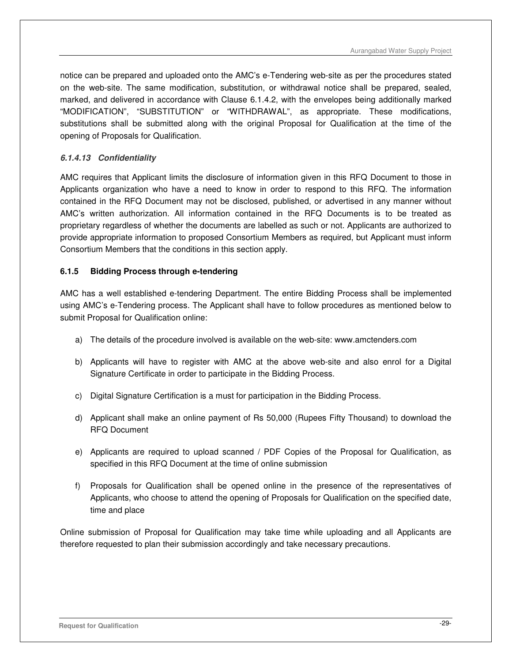notice can be prepared and uploaded onto the AMC's e-Tendering web-site as per the procedures stated on the web-site. The same modification, substitution, or withdrawal notice shall be prepared, sealed, marked, and delivered in accordance with Clause 6.1.4.2, with the envelopes being additionally marked "MODIFICATION", "SUBSTITUTION" or "WITHDRAWAL", as appropriate. These modifications, substitutions shall be submitted along with the original Proposal for Qualification at the time of the opening of Proposals for Qualification.

## **6.1.4.13 Confidentiality**

AMC requires that Applicant limits the disclosure of information given in this RFQ Document to those in Applicants organization who have a need to know in order to respond to this RFQ. The information contained in the RFQ Document may not be disclosed, published, or advertised in any manner without AMC's written authorization. All information contained in the RFQ Documents is to be treated as proprietary regardless of whether the documents are labelled as such or not. Applicants are authorized to provide appropriate information to proposed Consortium Members as required, but Applicant must inform Consortium Members that the conditions in this section apply.

## **6.1.5 Bidding Process through e-tendering**

AMC has a well established e-tendering Department. The entire Bidding Process shall be implemented using AMC's e-Tendering process. The Applicant shall have to follow procedures as mentioned below to submit Proposal for Qualification online:

- a) The details of the procedure involved is available on the web-site: www.amctenders.com
- b) Applicants will have to register with AMC at the above web-site and also enrol for a Digital Signature Certificate in order to participate in the Bidding Process.
- c) Digital Signature Certification is a must for participation in the Bidding Process.
- d) Applicant shall make an online payment of Rs 50,000 (Rupees Fifty Thousand) to download the RFQ Document
- e) Applicants are required to upload scanned / PDF Copies of the Proposal for Qualification, as specified in this RFQ Document at the time of online submission
- f) Proposals for Qualification shall be opened online in the presence of the representatives of Applicants, who choose to attend the opening of Proposals for Qualification on the specified date, time and place

Online submission of Proposal for Qualification may take time while uploading and all Applicants are therefore requested to plan their submission accordingly and take necessary precautions.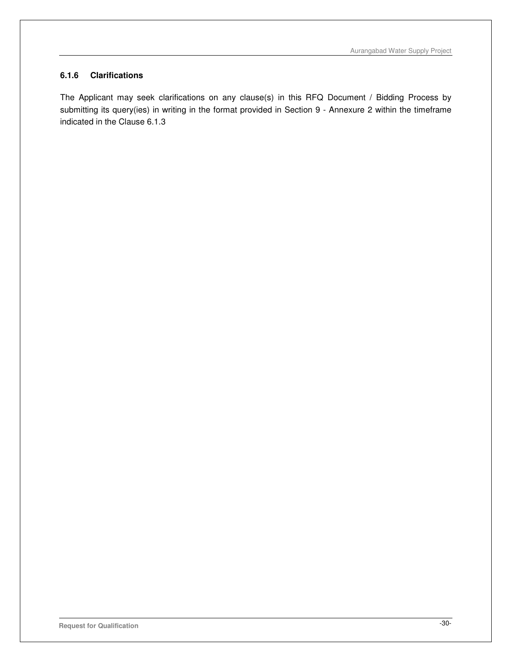### **6.1.6 Clarifications**

The Applicant may seek clarifications on any clause(s) in this RFQ Document / Bidding Process by submitting its query(ies) in writing in the format provided in Section 9 - Annexure 2 within the timeframe indicated in the Clause 6.1.3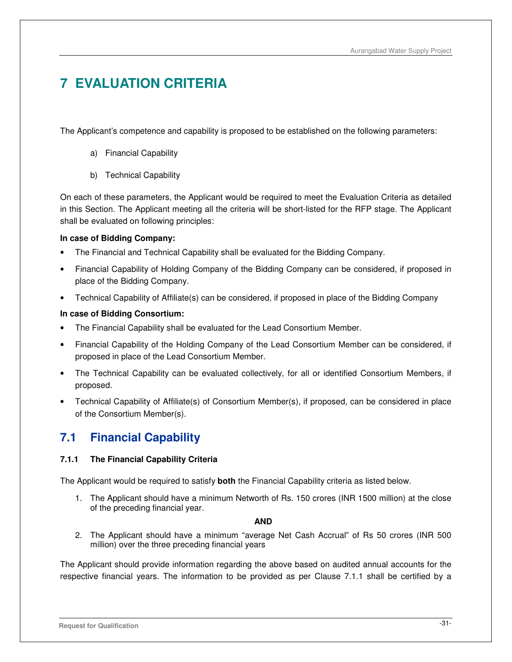# **7 EVALUATION CRITERIA**

The Applicant's competence and capability is proposed to be established on the following parameters:

- a) Financial Capability
- b) Technical Capability

On each of these parameters, the Applicant would be required to meet the Evaluation Criteria as detailed in this Section. The Applicant meeting all the criteria will be short-listed for the RFP stage. The Applicant shall be evaluated on following principles:

## **In case of Bidding Company:**

- The Financial and Technical Capability shall be evaluated for the Bidding Company.
- Financial Capability of Holding Company of the Bidding Company can be considered, if proposed in place of the Bidding Company.
- Technical Capability of Affiliate(s) can be considered, if proposed in place of the Bidding Company

## **In case of Bidding Consortium:**

- The Financial Capability shall be evaluated for the Lead Consortium Member.
- Financial Capability of the Holding Company of the Lead Consortium Member can be considered, if proposed in place of the Lead Consortium Member.
- The Technical Capability can be evaluated collectively, for all or identified Consortium Members, if proposed.
- Technical Capability of Affiliate(s) of Consortium Member(s), if proposed, can be considered in place of the Consortium Member(s).

# **7.1 Financial Capability**

# **7.1.1 The Financial Capability Criteria**

The Applicant would be required to satisfy **both** the Financial Capability criteria as listed below.

1. The Applicant should have a minimum Networth of Rs. 150 crores (INR 1500 million) at the close of the preceding financial year.

## **AND**

2. The Applicant should have a minimum "average Net Cash Accrual" of Rs 50 crores (INR 500 million) over the three preceding financial years

The Applicant should provide information regarding the above based on audited annual accounts for the respective financial years. The information to be provided as per Clause 7.1.1 shall be certified by a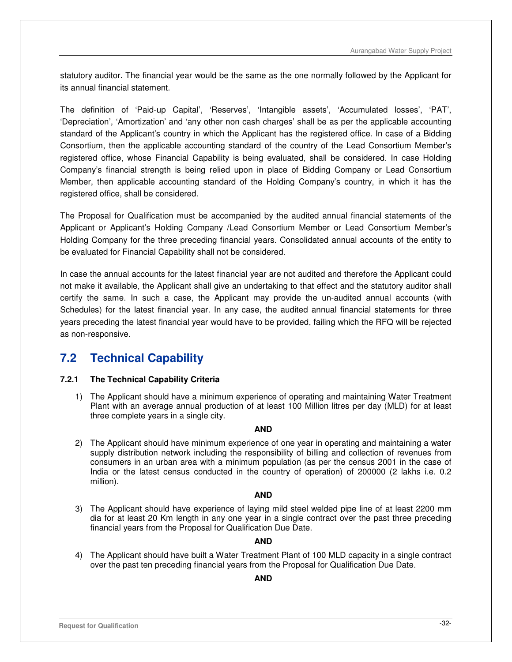statutory auditor. The financial year would be the same as the one normally followed by the Applicant for its annual financial statement.

The definition of 'Paid-up Capital', 'Reserves', 'Intangible assets', 'Accumulated losses', 'PAT', 'Depreciation', 'Amortization' and 'any other non cash charges' shall be as per the applicable accounting standard of the Applicant's country in which the Applicant has the registered office. In case of a Bidding Consortium, then the applicable accounting standard of the country of the Lead Consortium Member's registered office, whose Financial Capability is being evaluated, shall be considered. In case Holding Company's financial strength is being relied upon in place of Bidding Company or Lead Consortium Member, then applicable accounting standard of the Holding Company's country, in which it has the registered office, shall be considered.

The Proposal for Qualification must be accompanied by the audited annual financial statements of the Applicant or Applicant's Holding Company /Lead Consortium Member or Lead Consortium Member's Holding Company for the three preceding financial years. Consolidated annual accounts of the entity to be evaluated for Financial Capability shall not be considered.

In case the annual accounts for the latest financial year are not audited and therefore the Applicant could not make it available, the Applicant shall give an undertaking to that effect and the statutory auditor shall certify the same. In such a case, the Applicant may provide the un-audited annual accounts (with Schedules) for the latest financial year. In any case, the audited annual financial statements for three years preceding the latest financial year would have to be provided, failing which the RFQ will be rejected as non-responsive.

# **7.2 Technical Capability**

## **7.2.1 The Technical Capability Criteria**

1) The Applicant should have a minimum experience of operating and maintaining Water Treatment Plant with an average annual production of at least 100 Million litres per day (MLD) for at least three complete years in a single city.

#### **AND**

2) The Applicant should have minimum experience of one year in operating and maintaining a water supply distribution network including the responsibility of billing and collection of revenues from consumers in an urban area with a minimum population (as per the census 2001 in the case of India or the latest census conducted in the country of operation) of 200000 (2 lakhs i.e. 0.2 million).

## **AND**

3) The Applicant should have experience of laying mild steel welded pipe line of at least 2200 mm dia for at least 20 Km length in any one year in a single contract over the past three preceding financial years from the Proposal for Qualification Due Date.

## **AND**

4) The Applicant should have built a Water Treatment Plant of 100 MLD capacity in a single contract over the past ten preceding financial years from the Proposal for Qualification Due Date.

## **AND**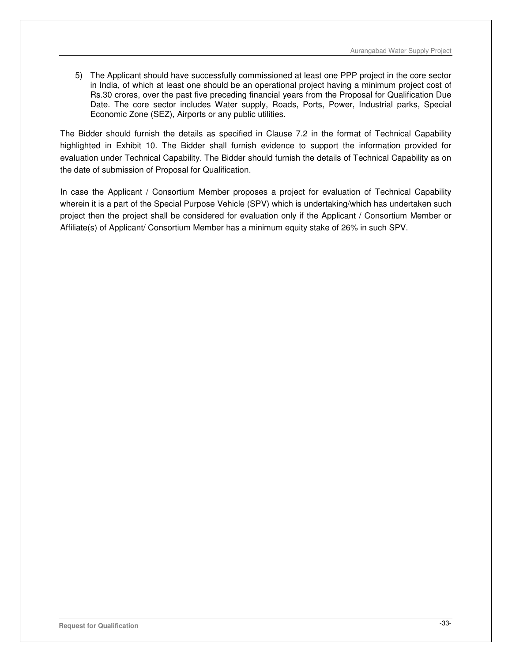5) The Applicant should have successfully commissioned at least one PPP project in the core sector in India, of which at least one should be an operational project having a minimum project cost of Rs.30 crores, over the past five preceding financial years from the Proposal for Qualification Due Date. The core sector includes Water supply, Roads, Ports, Power, Industrial parks, Special Economic Zone (SEZ), Airports or any public utilities.

The Bidder should furnish the details as specified in Clause 7.2 in the format of Technical Capability highlighted in Exhibit 10. The Bidder shall furnish evidence to support the information provided for evaluation under Technical Capability. The Bidder should furnish the details of Technical Capability as on the date of submission of Proposal for Qualification.

In case the Applicant / Consortium Member proposes a project for evaluation of Technical Capability wherein it is a part of the Special Purpose Vehicle (SPV) which is undertaking/which has undertaken such project then the project shall be considered for evaluation only if the Applicant / Consortium Member or Affiliate(s) of Applicant/ Consortium Member has a minimum equity stake of 26% in such SPV.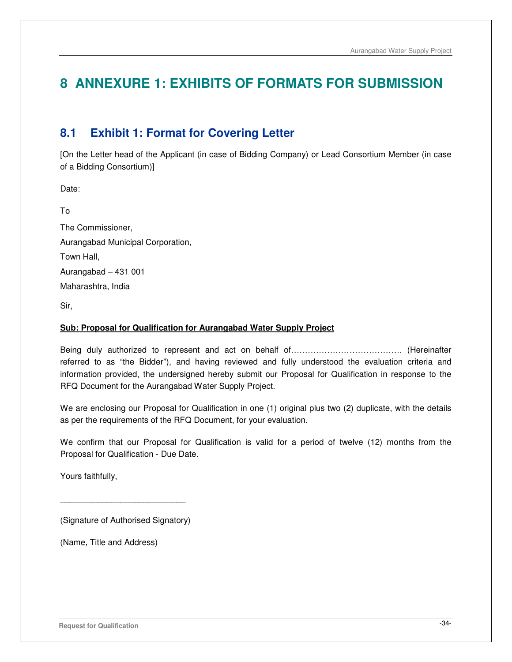# **8 ANNEXURE 1: EXHIBITS OF FORMATS FOR SUBMISSION**

# **8.1 Exhibit 1: Format for Covering Letter**

[On the Letter head of the Applicant (in case of Bidding Company) or Lead Consortium Member (in case of a Bidding Consortium)]

Date:

To The Commissioner, Aurangabad Municipal Corporation, Town Hall, Aurangabad – 431 001 Maharashtra, India

Sir,

#### **Sub: Proposal for Qualification for Aurangabad Water Supply Project**

Being duly authorized to represent and act on behalf of…………………………………. (Hereinafter referred to as "the Bidder"), and having reviewed and fully understood the evaluation criteria and information provided, the undersigned hereby submit our Proposal for Qualification in response to the RFQ Document for the Aurangabad Water Supply Project.

We are enclosing our Proposal for Qualification in one (1) original plus two (2) duplicate, with the details as per the requirements of the RFQ Document, for your evaluation.

We confirm that our Proposal for Qualification is valid for a period of twelve (12) months from the Proposal for Qualification - Due Date.

Yours faithfully,

(Signature of Authorised Signatory)

 $\overline{\phantom{a}}$  , and the set of the set of the set of the set of the set of the set of the set of the set of the set of the set of the set of the set of the set of the set of the set of the set of the set of the set of the s

(Name, Title and Address)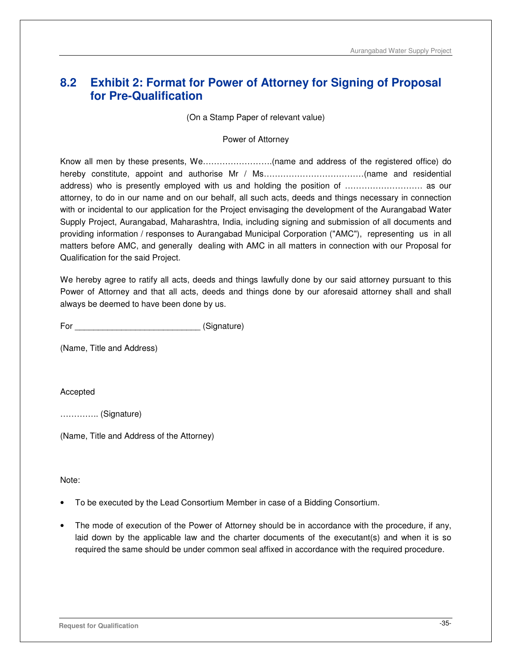# **8.2 Exhibit 2: Format for Power of Attorney for Signing of Proposal for Pre-Qualification**

(On a Stamp Paper of relevant value)

Power of Attorney

Know all men by these presents, We…………………….(name and address of the registered office) do hereby constitute, appoint and authorise Mr / Ms………………………………(name and residential address) who is presently employed with us and holding the position of ………………………. as our attorney, to do in our name and on our behalf, all such acts, deeds and things necessary in connection with or incidental to our application for the Project envisaging the development of the Aurangabad Water Supply Project, Aurangabad, Maharashtra, India, including signing and submission of all documents and providing information / responses to Aurangabad Municipal Corporation ("AMC"), representing us in all matters before AMC, and generally dealing with AMC in all matters in connection with our Proposal for Qualification for the said Project.

We hereby agree to ratify all acts, deeds and things lawfully done by our said attorney pursuant to this Power of Attorney and that all acts, deeds and things done by our aforesaid attorney shall and shall always be deemed to have been done by us.

For  $(Signature)$ 

(Name, Title and Address)

Accepted

………….. (Signature)

(Name, Title and Address of the Attorney)

Note:

- To be executed by the Lead Consortium Member in case of a Bidding Consortium.
- The mode of execution of the Power of Attorney should be in accordance with the procedure, if any, laid down by the applicable law and the charter documents of the executant(s) and when it is so required the same should be under common seal affixed in accordance with the required procedure.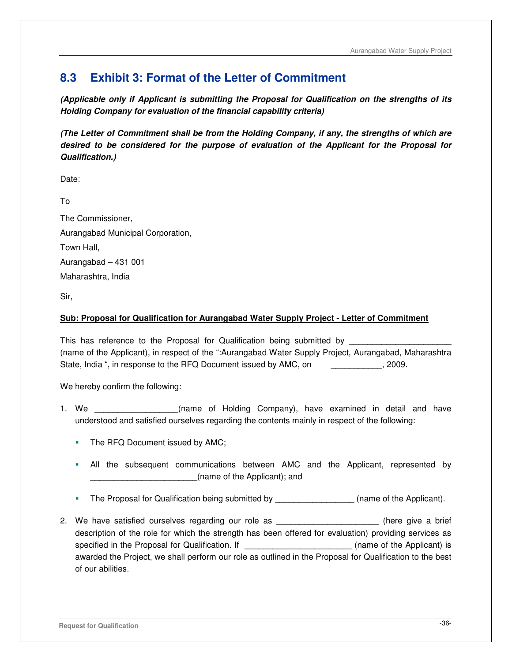# **8.3 Exhibit 3: Format of the Letter of Commitment**

**(Applicable only if Applicant is submitting the Proposal for Qualification on the strengths of its Holding Company for evaluation of the financial capability criteria)** 

**(The Letter of Commitment shall be from the Holding Company, if any, the strengths of which are desired to be considered for the purpose of evaluation of the Applicant for the Proposal for Qualification.)** 

Date:

To

The Commissioner, Aurangabad Municipal Corporation, Town Hall, Aurangabad – 431 001 Maharashtra, India

Sir,

## **Sub: Proposal for Qualification for Aurangabad Water Supply Project - Letter of Commitment**

This has reference to the Proposal for Qualification being submitted by \_\_\_\_\_\_\_\_ (name of the Applicant), in respect of the ":Aurangabad Water Supply Project, Aurangabad, Maharashtra State, India ", in response to the RFQ Document issued by AMC, on \_\_\_\_\_\_\_\_\_\_\_, 2009.

We hereby confirm the following:

- 1. We **the same of Holding Company**), have examined in detail and have understood and satisfied ourselves regarding the contents mainly in respect of the following:
	- The RFQ Document issued by AMC;
	- All the subsequent communications between AMC and the Applicant, represented by \_\_\_\_\_\_\_\_\_\_\_\_\_\_\_\_\_\_\_\_\_\_\_(name of the Applicant); and
	- The Proposal for Qualification being submitted by \_\_\_\_\_\_\_\_\_\_\_\_\_\_\_\_\_\_\_\_(name of the Applicant).
- 2. We have satisfied ourselves regarding our role as \_\_\_\_\_\_\_\_\_\_\_\_\_\_\_\_\_\_\_\_\_\_\_\_\_(here give a brief description of the role for which the strength has been offered for evaluation) providing services as specified in the Proposal for Qualification. If **the Container and Separate Container** (name of the Applicant) is awarded the Project, we shall perform our role as outlined in the Proposal for Qualification to the best of our abilities.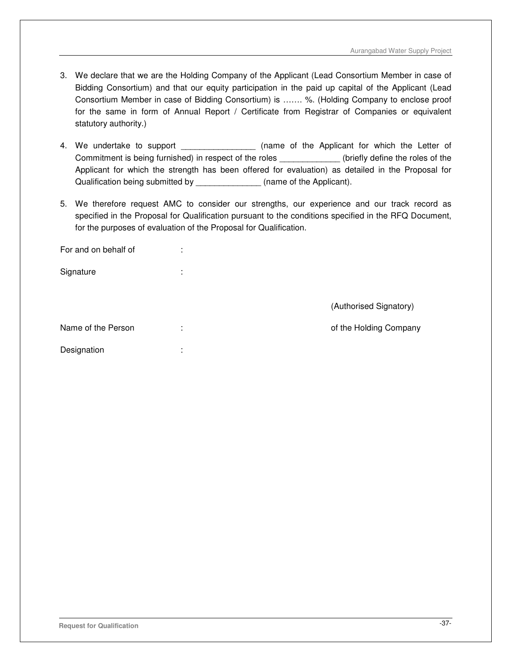- 3. We declare that we are the Holding Company of the Applicant (Lead Consortium Member in case of Bidding Consortium) and that our equity participation in the paid up capital of the Applicant (Lead Consortium Member in case of Bidding Consortium) is ……. %. (Holding Company to enclose proof for the same in form of Annual Report / Certificate from Registrar of Companies or equivalent statutory authority.)
- 4. We undertake to support \_\_\_\_\_\_\_\_\_\_\_\_\_\_\_\_\_\_ (name of the Applicant for which the Letter of Commitment is being furnished) in respect of the roles **the roles** (briefly define the roles of the Applicant for which the strength has been offered for evaluation) as detailed in the Proposal for Qualification being submitted by \_\_\_\_\_\_\_\_\_\_\_\_\_\_ (name of the Applicant).
- 5. We therefore request AMC to consider our strengths, our experience and our track record as specified in the Proposal for Qualification pursuant to the conditions specified in the RFQ Document, for the purposes of evaluation of the Proposal for Qualification.

| For and on behalf of | ٠<br>٠            |                        |
|----------------------|-------------------|------------------------|
| Signature            | ٠<br>$\mathbf{r}$ |                        |
|                      |                   |                        |
|                      |                   | (Authorised Signatory) |
| Name of the Person   | ٠<br>×.           | of the Holding Company |
| Designation          | ٠<br>٠            |                        |
|                      |                   |                        |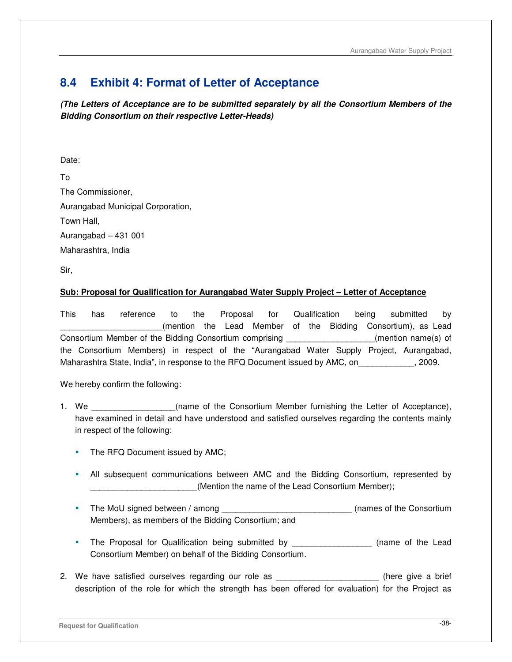# **8.4 Exhibit 4: Format of Letter of Acceptance**

**(The Letters of Acceptance are to be submitted separately by all the Consortium Members of the Bidding Consortium on their respective Letter-Heads)** 

Date:

To The Commissioner, Aurangabad Municipal Corporation, Town Hall, Aurangabad – 431 001 Maharashtra, India

Sir,

# **Sub: Proposal for Qualification for Aurangabad Water Supply Project – Letter of Acceptance**

This has reference to the Proposal for Qualification being submitted by (mention the Lead Member of the Bidding Consortium), as Lead Consortium Member of the Bidding Consortium comprising \_\_\_\_\_\_\_\_\_\_\_\_\_\_\_\_\_\_\_(mention name(s) of the Consortium Members) in respect of the "Aurangabad Water Supply Project, Aurangabad, Maharashtra State, India", in response to the RFQ Document issued by AMC, on  $\hspace{2cm}$ , 2009.

We hereby confirm the following:

- 1. We the Consortium Member furnishing the Letter of Acceptance), have examined in detail and have understood and satisfied ourselves regarding the contents mainly in respect of the following:
	- The RFQ Document issued by AMC;
	- All subsequent communications between AMC and the Bidding Consortium, represented by (Mention the name of the Lead Consortium Member);
	- The MoU signed between / among \_\_\_\_\_\_\_\_\_\_\_\_\_\_\_\_\_\_\_\_\_\_\_\_\_\_\_\_\_\_(names of the Consortium Members), as members of the Bidding Consortium; and
	- The Proposal for Qualification being submitted by \_\_\_\_\_\_\_\_\_\_\_\_\_\_\_\_\_ (name of the Lead Consortium Member) on behalf of the Bidding Consortium.
- 2. We have satisfied ourselves regarding our role as  $\Box$  (here give a brief description of the role for which the strength has been offered for evaluation) for the Project as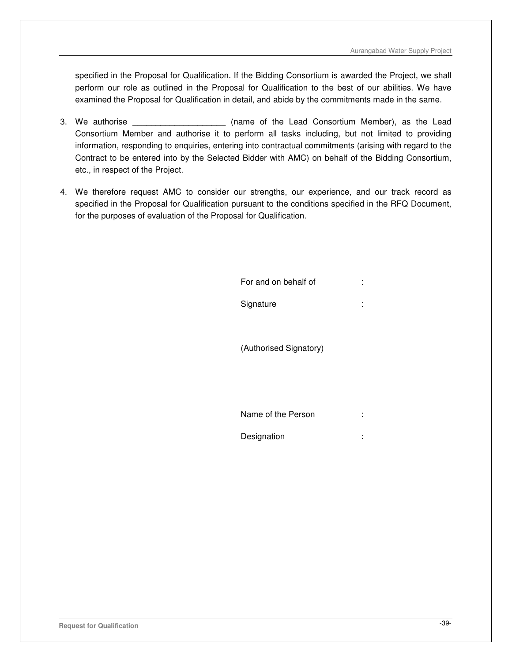specified in the Proposal for Qualification. If the Bidding Consortium is awarded the Project, we shall perform our role as outlined in the Proposal for Qualification to the best of our abilities. We have examined the Proposal for Qualification in detail, and abide by the commitments made in the same.

- 3. We authorise \_\_\_\_\_\_\_\_\_\_\_\_\_\_\_\_\_\_\_\_ (name of the Lead Consortium Member), as the Lead Consortium Member and authorise it to perform all tasks including, but not limited to providing information, responding to enquiries, entering into contractual commitments (arising with regard to the Contract to be entered into by the Selected Bidder with AMC) on behalf of the Bidding Consortium, etc., in respect of the Project.
- 4. We therefore request AMC to consider our strengths, our experience, and our track record as specified in the Proposal for Qualification pursuant to the conditions specified in the RFQ Document, for the purposes of evaluation of the Proposal for Qualification.

| For and on behalf of   | ٠<br>ä, |
|------------------------|---------|
| Signature              | ٠<br>٠  |
|                        |         |
| (Authorised Signatory) |         |
|                        |         |
|                        |         |
| Name of the Person     | ٠<br>ä, |
| Designation            | ٠<br>٠  |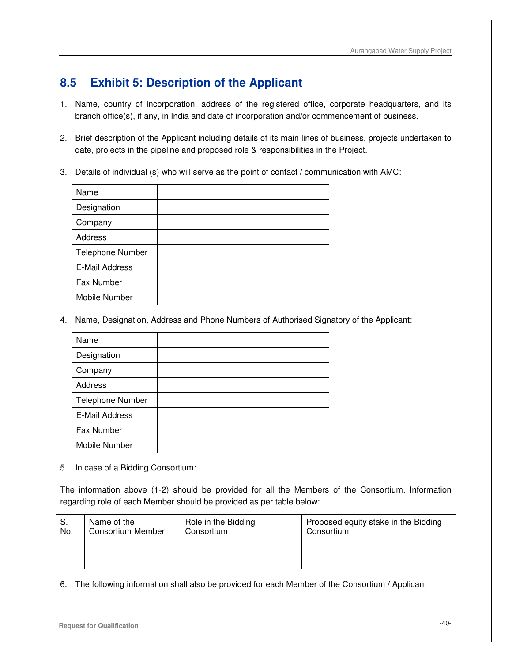# **8.5 Exhibit 5: Description of the Applicant**

- 1. Name, country of incorporation, address of the registered office, corporate headquarters, and its branch office(s), if any, in India and date of incorporation and/or commencement of business.
- 2. Brief description of the Applicant including details of its main lines of business, projects undertaken to date, projects in the pipeline and proposed role & responsibilities in the Project.
- 3. Details of individual (s) who will serve as the point of contact / communication with AMC:

| Name                  |  |
|-----------------------|--|
| Designation           |  |
| Company               |  |
| <b>Address</b>        |  |
| Telephone Number      |  |
| <b>E-Mail Address</b> |  |
| Fax Number            |  |
| Mobile Number         |  |

4. Name, Designation, Address and Phone Numbers of Authorised Signatory of the Applicant:

| Name             |  |
|------------------|--|
| Designation      |  |
| Company          |  |
| <b>Address</b>   |  |
| Telephone Number |  |
| E-Mail Address   |  |
| Fax Number       |  |
| Mobile Number    |  |

5. In case of a Bidding Consortium:

The information above (1-2) should be provided for all the Members of the Consortium. Information regarding role of each Member should be provided as per table below:

| S.<br>No. | Name of the<br><b>Consortium Member</b> | Role in the Bidding<br>Consortium | Proposed equity stake in the Bidding<br>Consortium |
|-----------|-----------------------------------------|-----------------------------------|----------------------------------------------------|
|           |                                         |                                   |                                                    |
|           |                                         |                                   |                                                    |

6. The following information shall also be provided for each Member of the Consortium / Applicant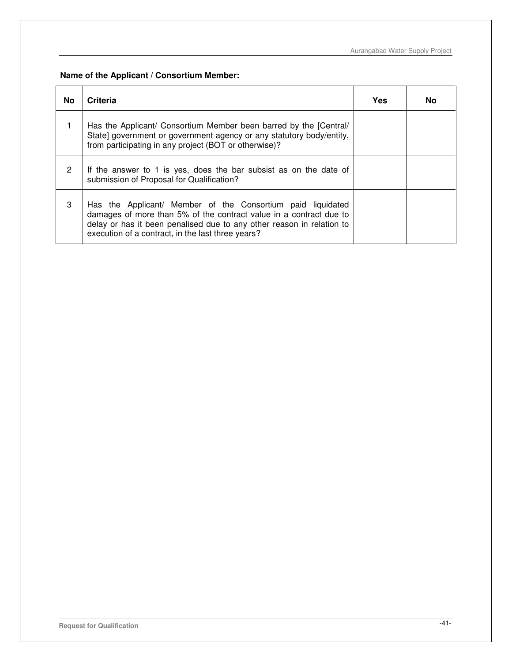**Name of the Applicant / Consortium Member:**

| No             | Criteria                                                                                                                                                                                                                                                        | Yes | No |
|----------------|-----------------------------------------------------------------------------------------------------------------------------------------------------------------------------------------------------------------------------------------------------------------|-----|----|
|                | Has the Applicant/ Consortium Member been barred by the [Central/<br>State] government or government agency or any statutory body/entity,<br>from participating in any project (BOT or otherwise)?                                                              |     |    |
| $\overline{2}$ | If the answer to 1 is yes, does the bar subsist as on the date of<br>submission of Proposal for Qualification?                                                                                                                                                  |     |    |
| 3              | Has the Applicant/ Member of the Consortium paid liquidated<br>damages of more than 5% of the contract value in a contract due to<br>delay or has it been penalised due to any other reason in relation to<br>execution of a contract, in the last three years? |     |    |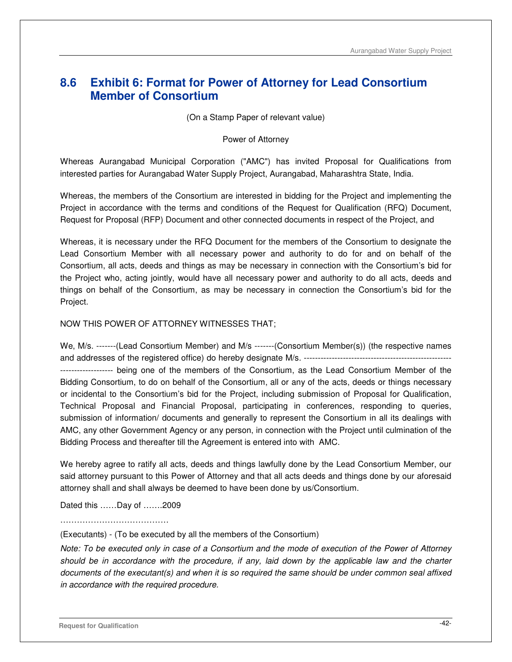# **8.6 Exhibit 6: Format for Power of Attorney for Lead Consortium Member of Consortium**

(On a Stamp Paper of relevant value)

Power of Attorney

Whereas Aurangabad Municipal Corporation ("AMC") has invited Proposal for Qualifications from interested parties for Aurangabad Water Supply Project, Aurangabad, Maharashtra State, India.

Whereas, the members of the Consortium are interested in bidding for the Project and implementing the Project in accordance with the terms and conditions of the Request for Qualification (RFQ) Document, Request for Proposal (RFP) Document and other connected documents in respect of the Project, and

Whereas, it is necessary under the RFQ Document for the members of the Consortium to designate the Lead Consortium Member with all necessary power and authority to do for and on behalf of the Consortium, all acts, deeds and things as may be necessary in connection with the Consortium's bid for the Project who, acting jointly, would have all necessary power and authority to do all acts, deeds and things on behalf of the Consortium, as may be necessary in connection the Consortium's bid for the Project.

#### NOW THIS POWER OF ATTORNEY WITNESSES THAT;

We, M/s. -------(Lead Consortium Member) and M/s -------(Consortium Member(s)) (the respective names and addresses of the registered office) do hereby designate M/s. ----------------------------------------------------- ------------------- being one of the members of the Consortium, as the Lead Consortium Member of the Bidding Consortium, to do on behalf of the Consortium, all or any of the acts, deeds or things necessary or incidental to the Consortium's bid for the Project, including submission of Proposal for Qualification, Technical Proposal and Financial Proposal, participating in conferences, responding to queries, submission of information/ documents and generally to represent the Consortium in all its dealings with AMC, any other Government Agency or any person, in connection with the Project until culmination of the Bidding Process and thereafter till the Agreement is entered into with AMC.

We hereby agree to ratify all acts, deeds and things lawfully done by the Lead Consortium Member, our said attorney pursuant to this Power of Attorney and that all acts deeds and things done by our aforesaid attorney shall and shall always be deemed to have been done by us/Consortium.

Dated this ……Day of …….2009

……………………………………

(Executants) - (To be executed by all the members of the Consortium)

Note: To be executed only in case of a Consortium and the mode of execution of the Power of Attorney should be in accordance with the procedure, if any, laid down by the applicable law and the charter documents of the executant(s) and when it is so required the same should be under common seal affixed in accordance with the required procedure.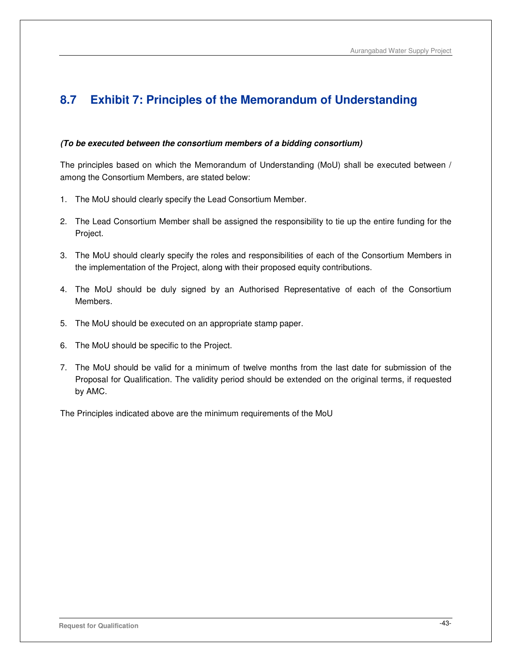# **8.7 Exhibit 7: Principles of the Memorandum of Understanding**

#### **(To be executed between the consortium members of a bidding consortium)**

The principles based on which the Memorandum of Understanding (MoU) shall be executed between / among the Consortium Members, are stated below:

- 1. The MoU should clearly specify the Lead Consortium Member.
- 2. The Lead Consortium Member shall be assigned the responsibility to tie up the entire funding for the Project.
- 3. The MoU should clearly specify the roles and responsibilities of each of the Consortium Members in the implementation of the Project, along with their proposed equity contributions.
- 4. The MoU should be duly signed by an Authorised Representative of each of the Consortium Members.
- 5. The MoU should be executed on an appropriate stamp paper.
- 6. The MoU should be specific to the Project.
- 7. The MoU should be valid for a minimum of twelve months from the last date for submission of the Proposal for Qualification. The validity period should be extended on the original terms, if requested by AMC.

The Principles indicated above are the minimum requirements of the MoU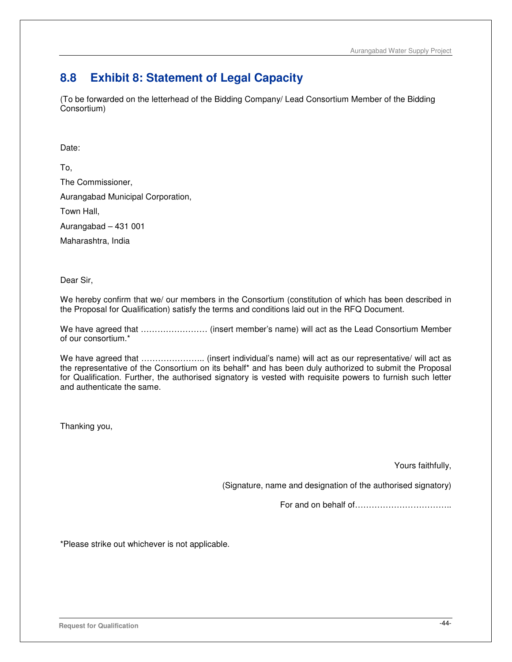# **8.8 Exhibit 8: Statement of Legal Capacity**

(To be forwarded on the letterhead of the Bidding Company/ Lead Consortium Member of the Bidding Consortium)

Date:

To, The Commissioner, Aurangabad Municipal Corporation, Town Hall, Aurangabad – 431 001

Maharashtra, India

Dear Sir,

We hereby confirm that we/ our members in the Consortium (constitution of which has been described in the Proposal for Qualification) satisfy the terms and conditions laid out in the RFQ Document.

We have agreed that …………………… (insert member's name) will act as the Lead Consortium Member of our consortium.\*

We have agreed that .............................. (insert individual's name) will act as our representative/ will act as the representative of the Consortium on its behalf\* and has been duly authorized to submit the Proposal for Qualification. Further, the authorised signatory is vested with requisite powers to furnish such letter and authenticate the same.

Thanking you,

Yours faithfully,

(Signature, name and designation of the authorised signatory)

For and on behalf of……………………………..

\*Please strike out whichever is not applicable.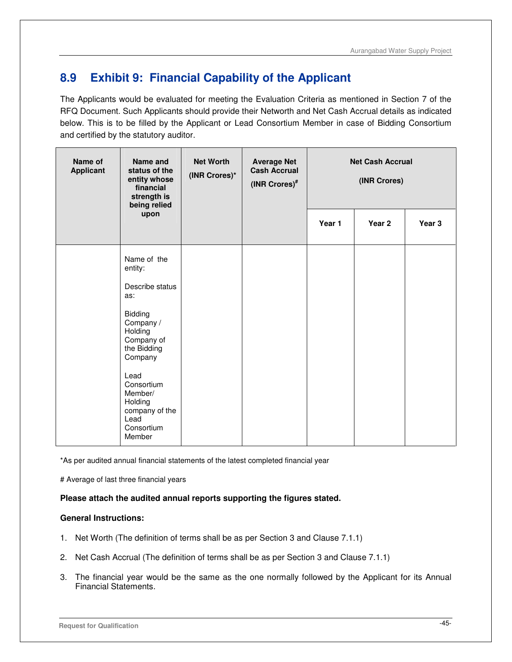# **8.9 Exhibit 9: Financial Capability of the Applicant**

The Applicants would be evaluated for meeting the Evaluation Criteria as mentioned in Section 7 of the RFQ Document. Such Applicants should provide their Networth and Net Cash Accrual details as indicated below. This is to be filled by the Applicant or Lead Consortium Member in case of Bidding Consortium and certified by the statutory auditor.

| Name of<br><b>Applicant</b> | Name and<br>status of the<br>entity whose<br>financial<br>strength is<br>being relied<br>upon                                                                                                                                    | <b>Net Worth</b><br>(INR Crores)* | <b>Average Net</b><br><b>Cash Accrual</b><br>(INR Crores)# |        | <b>Net Cash Accrual</b><br>(INR Crores) |        |
|-----------------------------|----------------------------------------------------------------------------------------------------------------------------------------------------------------------------------------------------------------------------------|-----------------------------------|------------------------------------------------------------|--------|-----------------------------------------|--------|
|                             |                                                                                                                                                                                                                                  |                                   |                                                            | Year 1 | Year 2                                  | Year 3 |
|                             | Name of the<br>entity:<br>Describe status<br>as:<br><b>Bidding</b><br>Company /<br>Holding<br>Company of<br>the Bidding<br>Company<br>Lead<br>Consortium<br>Member/<br>Holding<br>company of the<br>Lead<br>Consortium<br>Member |                                   |                                                            |        |                                         |        |

\*As per audited annual financial statements of the latest completed financial year

# Average of last three financial years

## **Please attach the audited annual reports supporting the figures stated.**

#### **General Instructions:**

- 1. Net Worth (The definition of terms shall be as per Section 3 and Clause 7.1.1)
- 2. Net Cash Accrual (The definition of terms shall be as per Section 3 and Clause 7.1.1)
- 3. The financial year would be the same as the one normally followed by the Applicant for its Annual Financial Statements.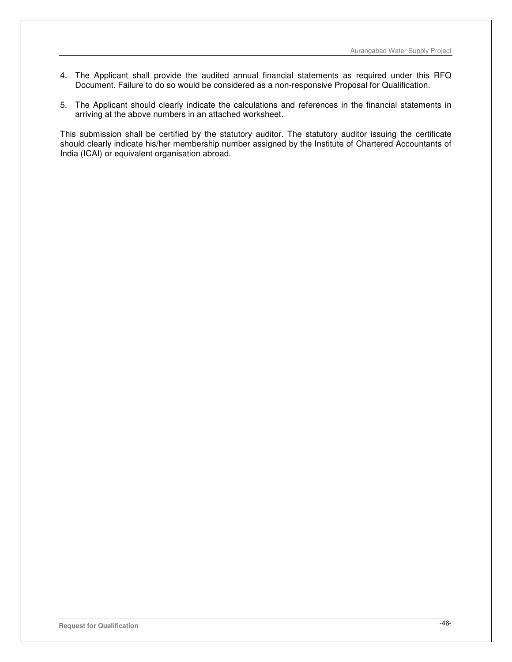- 4. The Applicant shall provide the audited annual financial statements as required under this RFQ Document. Failure to do so would be considered as a non-responsive Proposal for Qualification.
- 5. The Applicant should clearly indicate the calculations and references in the financial statements in arriving at the above numbers in an attached worksheet.

This submission shall be certified by the statutory auditor. The statutory auditor issuing the certificate should clearly indicate his/her membership number assigned by the Institute of Chartered Accountants of India (ICAI) or equivalent organisation abroad.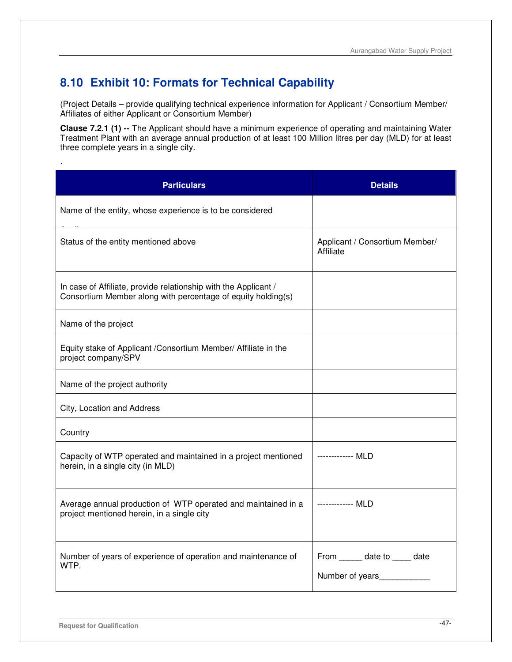# **8.10 Exhibit 10: Formats for Technical Capability**

(Project Details – provide qualifying technical experience information for Applicant / Consortium Member/ Affiliates of either Applicant or Consortium Member)

**Clause 7.2.1 (1) --** The Applicant should have a minimum experience of operating and maintaining Water Treatment Plant with an average annual production of at least 100 Million litres per day (MLD) for at least three complete years in a single city.

| <b>Particulars</b>                                                                                                              | <b>Details</b>                                    |
|---------------------------------------------------------------------------------------------------------------------------------|---------------------------------------------------|
| Name of the entity, whose experience is to be considered                                                                        |                                                   |
| Status of the entity mentioned above                                                                                            | Applicant / Consortium Member/<br>Affiliate       |
| In case of Affiliate, provide relationship with the Applicant /<br>Consortium Member along with percentage of equity holding(s) |                                                   |
| Name of the project                                                                                                             |                                                   |
| Equity stake of Applicant / Consortium Member/ Affiliate in the<br>project company/SPV                                          |                                                   |
| Name of the project authority                                                                                                   |                                                   |
| City, Location and Address                                                                                                      |                                                   |
| Country                                                                                                                         |                                                   |
| Capacity of WTP operated and maintained in a project mentioned<br>herein, in a single city (in MLD)                             | ------------- MLD                                 |
| Average annual production of WTP operated and maintained in a<br>project mentioned herein, in a single city                     | ------------- MLD                                 |
| Number of years of experience of operation and maintenance of<br>WTP.                                                           | From ______ date to _____ date<br>Number of years |

.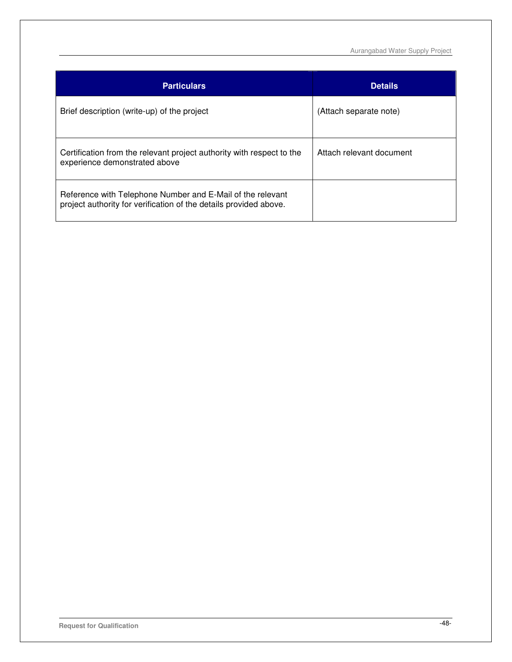Aurangabad Water Supply Project

| <b>Particulars</b>                                                                                                              | <b>Details</b>           |
|---------------------------------------------------------------------------------------------------------------------------------|--------------------------|
| Brief description (write-up) of the project                                                                                     | (Attach separate note)   |
| Certification from the relevant project authority with respect to the<br>experience demonstrated above                          | Attach relevant document |
| Reference with Telephone Number and E-Mail of the relevant<br>project authority for verification of the details provided above. |                          |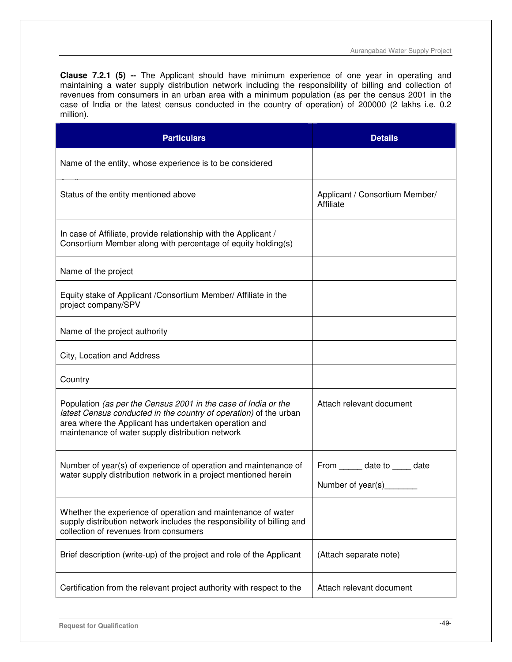**Clause 7.2.1 (5) --** The Applicant should have minimum experience of one year in operating and maintaining a water supply distribution network including the responsibility of billing and collection of revenues from consumers in an urban area with a minimum population (as per the census 2001 in the case of India or the latest census conducted in the country of operation) of 200000 (2 lakhs i.e. 0.2 million).

| <b>Particulars</b>                                                                                                                                                                                                                               | <b>Details</b>                                      |
|--------------------------------------------------------------------------------------------------------------------------------------------------------------------------------------------------------------------------------------------------|-----------------------------------------------------|
| Name of the entity, whose experience is to be considered                                                                                                                                                                                         |                                                     |
| Status of the entity mentioned above                                                                                                                                                                                                             | Applicant / Consortium Member/<br>Affiliate         |
| In case of Affiliate, provide relationship with the Applicant /<br>Consortium Member along with percentage of equity holding(s)                                                                                                                  |                                                     |
| Name of the project                                                                                                                                                                                                                              |                                                     |
| Equity stake of Applicant / Consortium Member/ Affiliate in the<br>project company/SPV                                                                                                                                                           |                                                     |
| Name of the project authority                                                                                                                                                                                                                    |                                                     |
| City, Location and Address                                                                                                                                                                                                                       |                                                     |
| Country                                                                                                                                                                                                                                          |                                                     |
| Population (as per the Census 2001 in the case of India or the<br>latest Census conducted in the country of operation) of the urban<br>area where the Applicant has undertaken operation and<br>maintenance of water supply distribution network | Attach relevant document                            |
| Number of year(s) of experience of operation and maintenance of<br>water supply distribution network in a project mentioned herein                                                                                                               | From ______ date to _____ date<br>Number of year(s) |
| Whether the experience of operation and maintenance of water<br>supply distribution network includes the responsibility of billing and<br>collection of revenues from consumers                                                                  |                                                     |
| Brief description (write-up) of the project and role of the Applicant                                                                                                                                                                            | (Attach separate note)                              |
| Certification from the relevant project authority with respect to the                                                                                                                                                                            | Attach relevant document                            |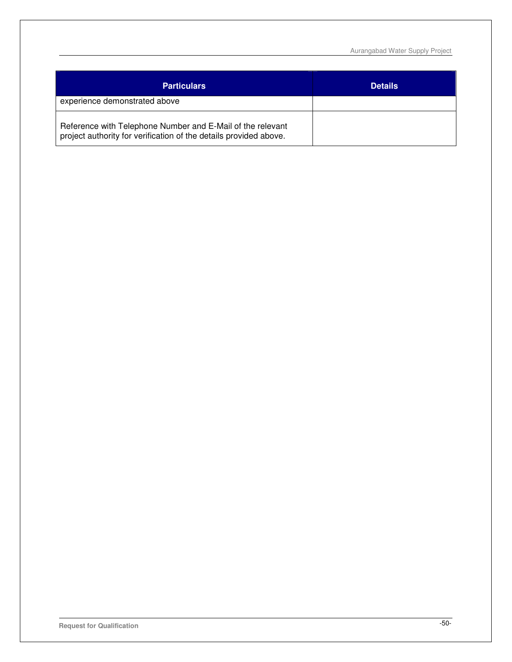Aurangabad Water Supply Project

| <b>Particulars</b>                                                                                                              | <b>Details</b> |
|---------------------------------------------------------------------------------------------------------------------------------|----------------|
| experience demonstrated above                                                                                                   |                |
| Reference with Telephone Number and E-Mail of the relevant<br>project authority for verification of the details provided above. |                |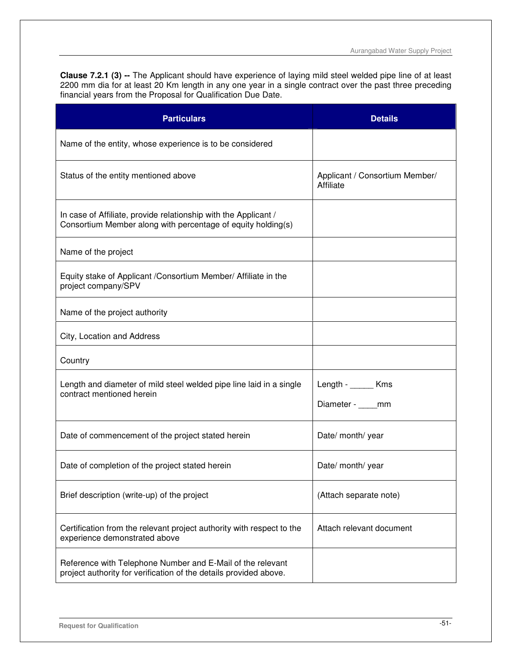**Clause 7.2.1 (3) --** The Applicant should have experience of laying mild steel welded pipe line of at least 2200 mm dia for at least 20 Km length in any one year in a single contract over the past three preceding financial years from the Proposal for Qualification Due Date.

| <b>Particulars</b>                                                                                                              | <b>Details</b>                              |
|---------------------------------------------------------------------------------------------------------------------------------|---------------------------------------------|
| Name of the entity, whose experience is to be considered                                                                        |                                             |
| Status of the entity mentioned above                                                                                            | Applicant / Consortium Member/<br>Affiliate |
| In case of Affiliate, provide relationship with the Applicant /<br>Consortium Member along with percentage of equity holding(s) |                                             |
| Name of the project                                                                                                             |                                             |
| Equity stake of Applicant /Consortium Member/ Affiliate in the<br>project company/SPV                                           |                                             |
| Name of the project authority                                                                                                   |                                             |
| City, Location and Address                                                                                                      |                                             |
| Country                                                                                                                         |                                             |
| Length and diameter of mild steel welded pipe line laid in a single<br>contract mentioned herein                                | Length - Kms<br>Diameter - mm               |
| Date of commencement of the project stated herein                                                                               | Date/ month/ year                           |
| Date of completion of the project stated herein                                                                                 | Date/ month/ year                           |
| Brief description (write-up) of the project                                                                                     | (Attach separate note)                      |
| Certification from the relevant project authority with respect to the<br>experience demonstrated above                          | Attach relevant document                    |
| Reference with Telephone Number and E-Mail of the relevant<br>project authority for verification of the details provided above. |                                             |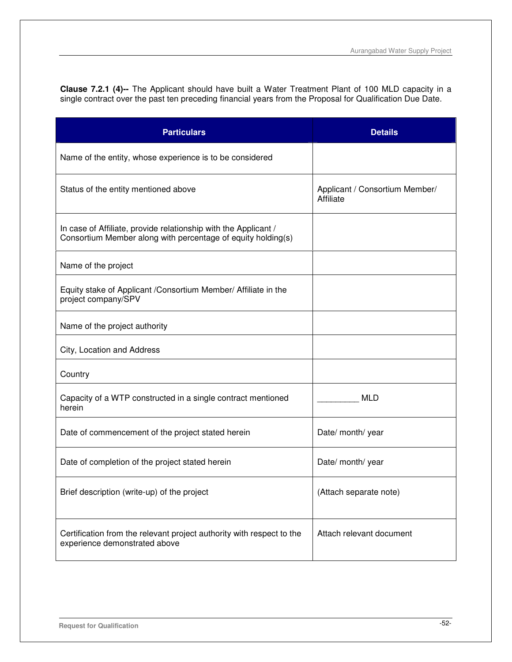**Clause 7.2.1 (4)--** The Applicant should have built a Water Treatment Plant of 100 MLD capacity in a single contract over the past ten preceding financial years from the Proposal for Qualification Due Date.

| <b>Particulars</b>                                                                                                              | <b>Details</b>                              |
|---------------------------------------------------------------------------------------------------------------------------------|---------------------------------------------|
| Name of the entity, whose experience is to be considered                                                                        |                                             |
| Status of the entity mentioned above                                                                                            | Applicant / Consortium Member/<br>Affiliate |
| In case of Affiliate, provide relationship with the Applicant /<br>Consortium Member along with percentage of equity holding(s) |                                             |
| Name of the project                                                                                                             |                                             |
| Equity stake of Applicant / Consortium Member/ Affiliate in the<br>project company/SPV                                          |                                             |
| Name of the project authority                                                                                                   |                                             |
| City, Location and Address                                                                                                      |                                             |
| Country                                                                                                                         |                                             |
| Capacity of a WTP constructed in a single contract mentioned<br>herein                                                          | <b>MLD</b>                                  |
| Date of commencement of the project stated herein                                                                               | Date/ month/ year                           |
| Date of completion of the project stated herein                                                                                 | Date/ month/ year                           |
| Brief description (write-up) of the project                                                                                     | (Attach separate note)                      |
| Certification from the relevant project authority with respect to the<br>experience demonstrated above                          | Attach relevant document                    |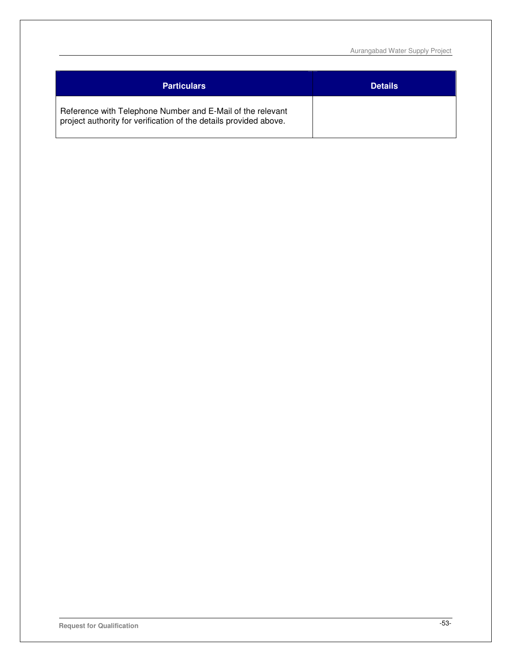Aurangabad Water Supply Project

| <b>Particulars</b>                                                                                                              | <b>Details</b> |
|---------------------------------------------------------------------------------------------------------------------------------|----------------|
| Reference with Telephone Number and E-Mail of the relevant<br>project authority for verification of the details provided above. |                |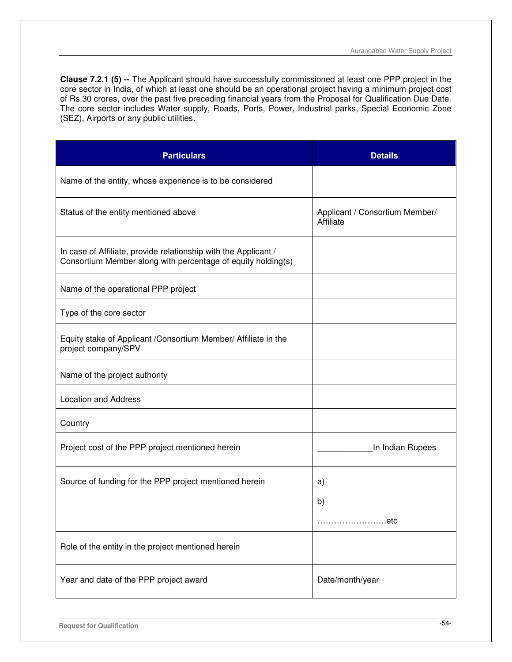**Clause 7.2.1 (5) --** The Applicant should have successfully commissioned at least one PPP project in the core sector in India, of which at least one should be an operational project having a minimum project cost of Rs.30 crores, over the past five preceding financial years from the Proposal for Qualification Due Date. The core sector includes Water supply, Roads, Ports, Power, Industrial parks, Special Economic Zone (SEZ), Airports or any public utilities.

| <b>Particulars</b>                                                                                                              | <b>Details</b>                              |
|---------------------------------------------------------------------------------------------------------------------------------|---------------------------------------------|
| Name of the entity, whose experience is to be considered                                                                        |                                             |
| Status of the entity mentioned above                                                                                            | Applicant / Consortium Member/<br>Affiliate |
| In case of Affiliate, provide relationship with the Applicant /<br>Consortium Member along with percentage of equity holding(s) |                                             |
| Name of the operational PPP project                                                                                             |                                             |
| Type of the core sector                                                                                                         |                                             |
| Equity stake of Applicant / Consortium Member/ Affiliate in the<br>project company/SPV                                          |                                             |
| Name of the project authority                                                                                                   |                                             |
| <b>Location and Address</b>                                                                                                     |                                             |
| Country                                                                                                                         |                                             |
| Project cost of the PPP project mentioned herein                                                                                | In Indian Rupees                            |
| Source of funding for the PPP project mentioned herein                                                                          | a)                                          |
|                                                                                                                                 | b)                                          |
|                                                                                                                                 | etc                                         |
| Role of the entity in the project mentioned herein                                                                              |                                             |
| Year and date of the PPP project award                                                                                          | Date/month/year                             |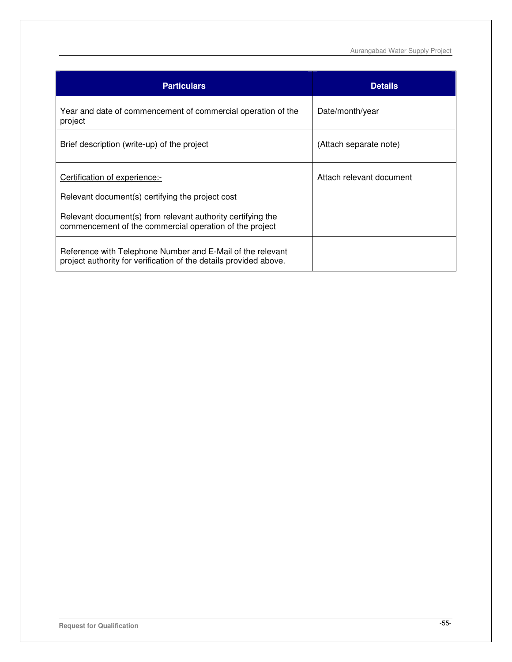Aurangabad Water Supply Project

| <b>Particulars</b>                                                                                                              | <b>Details</b>           |
|---------------------------------------------------------------------------------------------------------------------------------|--------------------------|
| Year and date of commencement of commercial operation of the<br>project                                                         | Date/month/year          |
| Brief description (write-up) of the project                                                                                     | (Attach separate note)   |
| Certification of experience:-                                                                                                   | Attach relevant document |
| Relevant document(s) certifying the project cost                                                                                |                          |
| Relevant document(s) from relevant authority certifying the<br>commencement of the commercial operation of the project          |                          |
| Reference with Telephone Number and E-Mail of the relevant<br>project authority for verification of the details provided above. |                          |